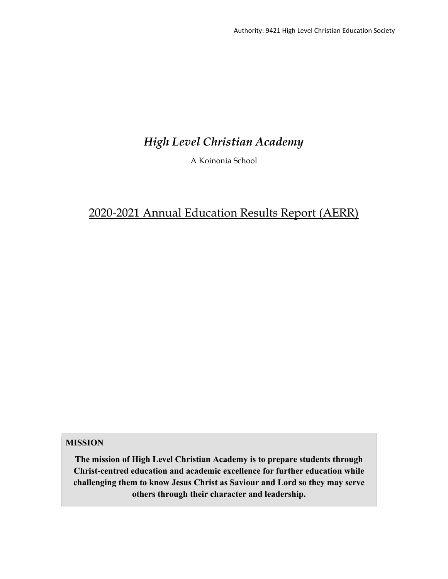# *High Level Christian Academy*

A Koinonia School

# 2020-2021 Annual Education Results Report (AERR)

# **MISSION**

**The mission of High Level Christian Academy is to prepare students through Christ-centred education and academic excellence for further education while challenging them to know Jesus Christ as Saviour and Lord so they may serve others through their character and leadership.**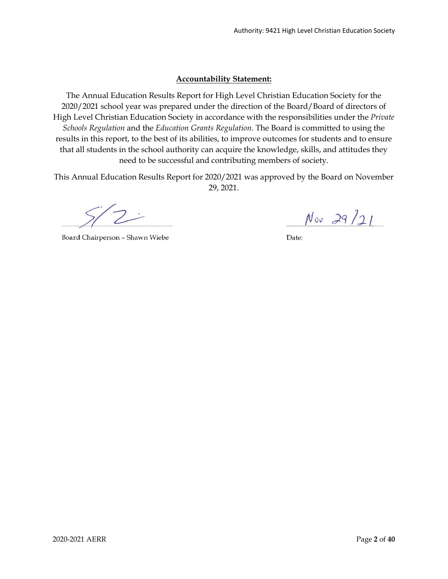# **Accountability Statement:**

The Annual Education Results Report for High Level Christian Education Society for the 2020/2021 school year was prepared under the direction of the Board/Board of directors of High Level Christian Education Society in accordance with the responsibilities under the *Private Schools Regulation* and the *Education Grants Regulation*. The Board is committed to using the results in this report, to the best of its abilities, to improve outcomes for students and to ensure that all students in the school authority can acquire the knowledge, skills, and attitudes they need to be successful and contributing members of society.

This Annual Education Results Report for 2020/2021 was approved by the Board on November 29, 2021.

Board Chairperson - Shawn Wiebe

 $Nov$  29/21

Date: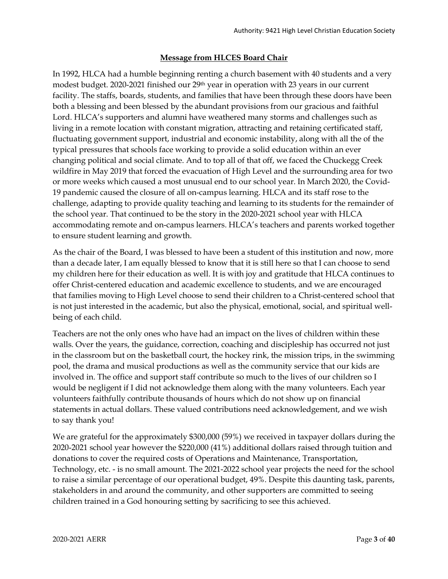# **Message from HLCES Board Chair**

In 1992, HLCA had a humble beginning renting a church basement with 40 students and a very modest budget. 2020-2021 finished our 29th year in operation with 23 years in our current facility. The staffs, boards, students, and families that have been through these doors have been both a blessing and been blessed by the abundant provisions from our gracious and faithful Lord. HLCA's supporters and alumni have weathered many storms and challenges such as living in a remote location with constant migration, attracting and retaining certificated staff, fluctuating government support, industrial and economic instability, along with all the of the typical pressures that schools face working to provide a solid education within an ever changing political and social climate. And to top all of that off, we faced the Chuckegg Creek wildfire in May 2019 that forced the evacuation of High Level and the surrounding area for two or more weeks which caused a most unusual end to our school year. In March 2020, the Covid-19 pandemic caused the closure of all on-campus learning. HLCA and its staff rose to the challenge, adapting to provide quality teaching and learning to its students for the remainder of the school year. That continued to be the story in the 2020-2021 school year with HLCA accommodating remote and on-campus learners. HLCA's teachers and parents worked together to ensure student learning and growth.

As the chair of the Board, I was blessed to have been a student of this institution and now, more than a decade later, I am equally blessed to know that it is still here so that I can choose to send my children here for their education as well. It is with joy and gratitude that HLCA continues to offer Christ-centered education and academic excellence to students, and we are encouraged that families moving to High Level choose to send their children to a Christ-centered school that is not just interested in the academic, but also the physical, emotional, social, and spiritual wellbeing of each child.

Teachers are not the only ones who have had an impact on the lives of children within these walls. Over the years, the guidance, correction, coaching and discipleship has occurred not just in the classroom but on the basketball court, the hockey rink, the mission trips, in the swimming pool, the drama and musical productions as well as the community service that our kids are involved in. The office and support staff contribute so much to the lives of our children so I would be negligent if I did not acknowledge them along with the many volunteers. Each year volunteers faithfully contribute thousands of hours which do not show up on financial statements in actual dollars. These valued contributions need acknowledgement, and we wish to say thank you!

We are grateful for the approximately \$300,000 (59%) we received in taxpayer dollars during the 2020-2021 school year however the \$220,000 (41%) additional dollars raised through tuition and donations to cover the required costs of Operations and Maintenance, Transportation, Technology, etc. - is no small amount. The 2021-2022 school year projects the need for the school to raise a similar percentage of our operational budget, 49%. Despite this daunting task, parents, stakeholders in and around the community, and other supporters are committed to seeing children trained in a God honouring setting by sacrificing to see this achieved.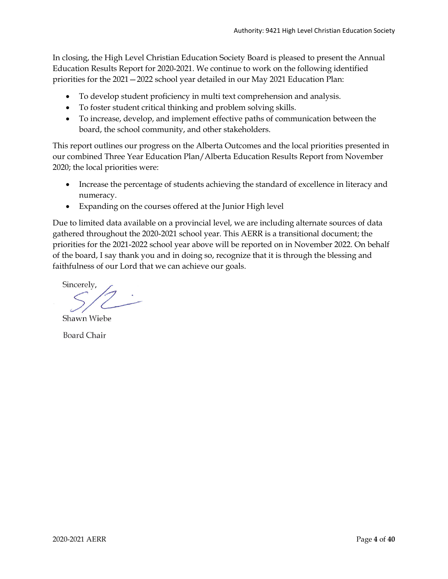In closing, the High Level Christian Education Society Board is pleased to present the Annual Education Results Report for 2020-2021. We continue to work on the following identified priorities for the 2021—2022 school year detailed in our May 2021 Education Plan:

- To develop student proficiency in multi text comprehension and analysis.
- To foster student critical thinking and problem solving skills.
- To increase, develop, and implement effective paths of communication between the board, the school community, and other stakeholders.

This report outlines our progress on the Alberta Outcomes and the local priorities presented in our combined Three Year Education Plan/Alberta Education Results Report from November 2020; the local priorities were:

- Increase the percentage of students achieving the standard of excellence in literacy and numeracy.
- Expanding on the courses offered at the Junior High level

Due to limited data available on a provincial level, we are including alternate sources of data gathered throughout the 2020-2021 school year. This AERR is a transitional document; the priorities for the 2021-2022 school year above will be reported on in November 2022. On behalf of the board, I say thank you and in doing so, recognize that it is through the blessing and faithfulness of our Lord that we can achieve our goals.

Sincerely,

Shawn Wiebe

**Board Chair**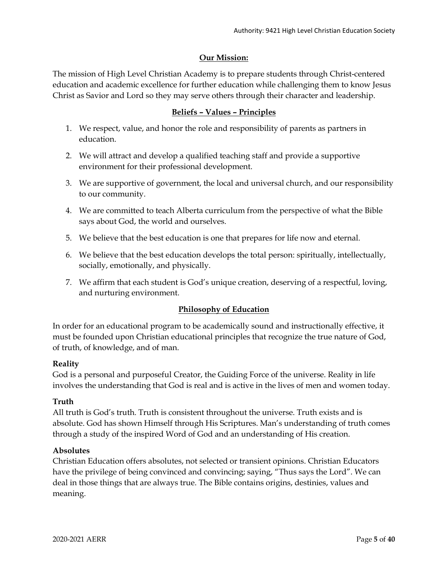# **Our Mission:**

The mission of High Level Christian Academy is to prepare students through Christ-centered education and academic excellence for further education while challenging them to know Jesus Christ as Savior and Lord so they may serve others through their character and leadership.

# **Beliefs – Values – Principles**

- 1. We respect, value, and honor the role and responsibility of parents as partners in education.
- 2. We will attract and develop a qualified teaching staff and provide a supportive environment for their professional development.
- 3. We are supportive of government, the local and universal church, and our responsibility to our community.
- 4. We are committed to teach Alberta curriculum from the perspective of what the Bible says about God, the world and ourselves.
- 5. We believe that the best education is one that prepares for life now and eternal.
- 6. We believe that the best education develops the total person: spiritually, intellectually, socially, emotionally, and physically.
- 7. We affirm that each student is God's unique creation, deserving of a respectful, loving, and nurturing environment.

# **Philosophy of Education**

In order for an educational program to be academically sound and instructionally effective, it must be founded upon Christian educational principles that recognize the true nature of God, of truth, of knowledge, and of man.

# **Reality**

God is a personal and purposeful Creator, the Guiding Force of the universe. Reality in life involves the understanding that God is real and is active in the lives of men and women today.

# **Truth**

All truth is God's truth. Truth is consistent throughout the universe. Truth exists and is absolute. God has shown Himself through His Scriptures. Man's understanding of truth comes through a study of the inspired Word of God and an understanding of His creation.

### **Absolutes**

Christian Education offers absolutes, not selected or transient opinions. Christian Educators have the privilege of being convinced and convincing; saying, "Thus says the Lord". We can deal in those things that are always true. The Bible contains origins, destinies, values and meaning.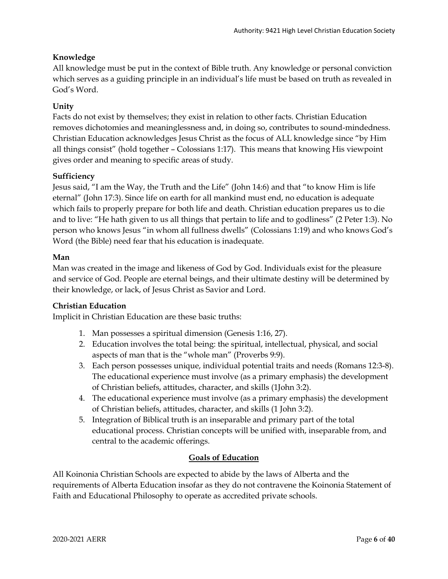# **Knowledge**

All knowledge must be put in the context of Bible truth. Any knowledge or personal conviction which serves as a guiding principle in an individual's life must be based on truth as revealed in God's Word.

# **Unity**

Facts do not exist by themselves; they exist in relation to other facts. Christian Education removes dichotomies and meaninglessness and, in doing so, contributes to sound-mindedness. Christian Education acknowledges Jesus Christ as the focus of ALL knowledge since "by Him all things consist" (hold together – Colossians 1:17). This means that knowing His viewpoint gives order and meaning to specific areas of study.

# **Sufficiency**

Jesus said, "I am the Way, the Truth and the Life" (John 14:6) and that "to know Him is life eternal" (John 17:3). Since life on earth for all mankind must end, no education is adequate which fails to properly prepare for both life and death. Christian education prepares us to die and to live: "He hath given to us all things that pertain to life and to godliness" (2 Peter 1:3). No person who knows Jesus "in whom all fullness dwells" (Colossians 1:19) and who knows God's Word (the Bible) need fear that his education is inadequate.

# **Man**

Man was created in the image and likeness of God by God. Individuals exist for the pleasure and service of God. People are eternal beings, and their ultimate destiny will be determined by their knowledge, or lack, of Jesus Christ as Savior and Lord.

# **Christian Education**

Implicit in Christian Education are these basic truths:

- 1. Man possesses a spiritual dimension (Genesis 1:16, 27).
- 2. Education involves the total being: the spiritual, intellectual, physical, and social aspects of man that is the "whole man" (Proverbs 9:9).
- 3. Each person possesses unique, individual potential traits and needs (Romans 12:3-8). The educational experience must involve (as a primary emphasis) the development of Christian beliefs, attitudes, character, and skills (1John 3:2).
- 4. The educational experience must involve (as a primary emphasis) the development of Christian beliefs, attitudes, character, and skills (1 John 3:2).
- 5. Integration of Biblical truth is an inseparable and primary part of the total educational process. Christian concepts will be unified with, inseparable from, and central to the academic offerings.

# **Goals of Education**

All Koinonia Christian Schools are expected to abide by the laws of Alberta and the requirements of Alberta Education insofar as they do not contravene the Koinonia Statement of Faith and Educational Philosophy to operate as accredited private schools.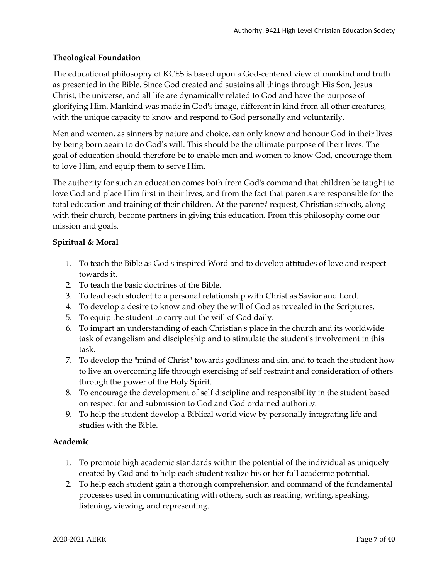# **Theological Foundation**

The educational philosophy of KCES is based upon a God-centered view of mankind and truth as presented in the Bible. Since God created and sustains all things through His Son, Jesus Christ, the universe, and all life are dynamically related to God and have the purpose of glorifying Him. Mankind was made in God's image, different in kind from all other creatures, with the unique capacity to know and respond to God personally and voluntarily.

Men and women, as sinners by nature and choice, can only know and honour God in their lives by being born again to do God's will. This should be the ultimate purpose of their lives. The goal of education should therefore be to enable men and women to know God, encourage them to love Him, and equip them to serve Him.

The authority for such an education comes both from God's command that children be taught to love God and place Him first in their lives, and from the fact that parents are responsible for the total education and training of their children. At the parents' request, Christian schools, along with their church, become partners in giving this education. From this philosophy come our mission and goals.

# **Spiritual & Moral**

- 1. To teach the Bible as God's inspired Word and to develop attitudes of love and respect towards it.
- 2. To teach the basic doctrines of the Bible.
- 3. To lead each student to a personal relationship with Christ as Savior and Lord.
- 4. To develop a desire to know and obey the will of God as revealed in the Scriptures.
- 5. To equip the student to carry out the will of God daily.
- 6. To impart an understanding of each Christian's place in the church and its worldwide task of evangelism and discipleship and to stimulate the student's involvement in this task.
- 7. To develop the "mind of Christ" towards godliness and sin, and to teach the student how to live an overcoming life through exercising of self restraint and consideration of others through the power of the Holy Spirit.
- 8. To encourage the development of self discipline and responsibility in the student based on respect for and submission to God and God ordained authority.
- 9. To help the student develop a Biblical world view by personally integrating life and studies with the Bible.

# **Academic**

- 1. To promote high academic standards within the potential of the individual as uniquely created by God and to help each student realize his or her full academic potential.
- 2. To help each student gain a thorough comprehension and command of the fundamental processes used in communicating with others, such as reading, writing, speaking, listening, viewing, and representing.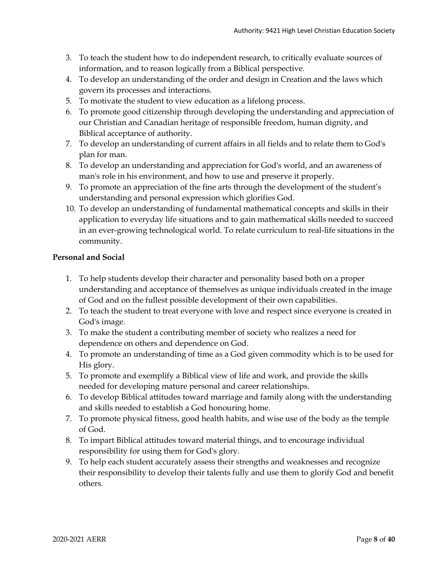- 3. To teach the student how to do independent research, to critically evaluate sources of information, and to reason logically from a Biblical perspective.
- 4. To develop an understanding of the order and design in Creation and the laws which govern its processes and interactions.
- 5. To motivate the student to view education as a lifelong process.
- 6. To promote good citizenship through developing the understanding and appreciation of our Christian and Canadian heritage of responsible freedom, human dignity, and Biblical acceptance of authority.
- 7. To develop an understanding of current affairs in all fields and to relate them to God's plan for man.
- 8. To develop an understanding and appreciation for God's world, and an awareness of man's role in his environment, and how to use and preserve it properly.
- 9. To promote an appreciation of the fine arts through the development of the student's understanding and personal expression which glorifies God.
- 10. To develop an understanding of fundamental mathematical concepts and skills in their application to everyday life situations and to gain mathematical skills needed to succeed in an ever-growing technological world. To relate curriculum to real-life situations in the community.

# **Personal and Social**

- 1. To help students develop their character and personality based both on a proper understanding and acceptance of themselves as unique individuals created in the image of God and on the fullest possible development of their own capabilities.
- 2. To teach the student to treat everyone with love and respect since everyone is created in God's image.
- 3. To make the student a contributing member of society who realizes a need for dependence on others and dependence on God.
- 4. To promote an understanding of time as a God given commodity which is to be used for His glory.
- 5. To promote and exemplify a Biblical view of life and work, and provide the skills needed for developing mature personal and career relationships.
- 6. To develop Biblical attitudes toward marriage and family along with the understanding and skills needed to establish a God honouring home.
- 7. To promote physical fitness, good health habits, and wise use of the body as the temple of God.
- 8. To impart Biblical attitudes toward material things, and to encourage individual responsibility for using them for God's glory.
- 9. To help each student accurately assess their strengths and weaknesses and recognize their responsibility to develop their talents fully and use them to glorify God and benefit others.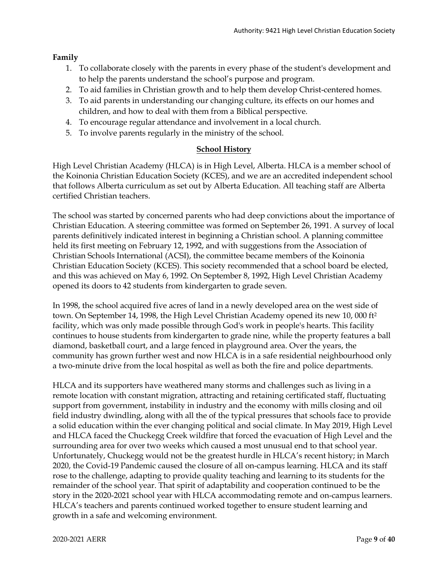# **Family**

- 1. To collaborate closely with the parents in every phase of the student's development and to help the parents understand the school's purpose and program.
- 2. To aid families in Christian growth and to help them develop Christ-centered homes.
- 3. To aid parents in understanding our changing culture, its effects on our homes and children, and how to deal with them from a Biblical perspective.
- 4. To encourage regular attendance and involvement in a local church.
- 5. To involve parents regularly in the ministry of the school.

# **School History**

High Level Christian Academy (HLCA) is in High Level, Alberta. HLCA is a member school of the Koinonia Christian Education Society (KCES), and we are an accredited independent school that follows Alberta curriculum as set out by Alberta Education. All teaching staff are Alberta certified Christian teachers.

The school was started by concerned parents who had deep convictions about the importance of Christian Education. A steering committee was formed on September 26, 1991. A survey of local parents definitively indicated interest in beginning a Christian school. A planning committee held its first meeting on February 12, 1992, and with suggestions from the Association of Christian Schools International (ACSI), the committee became members of the Koinonia Christian Education Society (KCES). This society recommended that a school board be elected, and this was achieved on May 6, 1992. On September 8, 1992, High Level Christian Academy opened its doors to 42 students from kindergarten to grade seven.

In 1998, the school acquired five acres of land in a newly developed area on the west side of town. On September 14, 1998, the High Level Christian Academy opened its new 10, 000 ft2 facility, which was only made possible through God's work in people's hearts. This facility continues to house students from kindergarten to grade nine, while the property features a ball diamond, basketball court, and a large fenced in playground area. Over the years, the community has grown further west and now HLCA is in a safe residential neighbourhood only a two-minute drive from the local hospital as well as both the fire and police departments.

HLCA and its supporters have weathered many storms and challenges such as living in a remote location with constant migration, attracting and retaining certificated staff, fluctuating support from government, instability in industry and the economy with mills closing and oil field industry dwindling, along with all the of the typical pressures that schools face to provide a solid education within the ever changing political and social climate. In May 2019, High Level and HLCA faced the Chuckegg Creek wildfire that forced the evacuation of High Level and the surrounding area for over two weeks which caused a most unusual end to that school year. Unfortunately, Chuckegg would not be the greatest hurdle in HLCA's recent history; in March 2020, the Covid-19 Pandemic caused the closure of all on-campus learning. HLCA and its staff rose to the challenge, adapting to provide quality teaching and learning to its students for the remainder of the school year. That spirit of adaptability and cooperation continued to be the story in the 2020-2021 school year with HLCA accommodating remote and on-campus learners. HLCA's teachers and parents continued worked together to ensure student learning and growth in a safe and welcoming environment.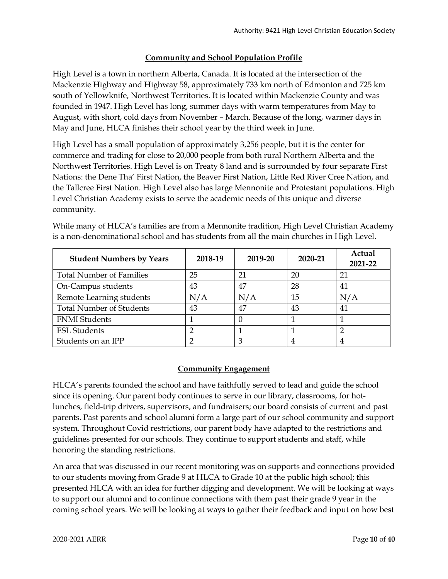# **Community and School Population Profile**

High Level is a town in northern Alberta, Canada. It is located at the intersection of the Mackenzie Highway and Highway 58, approximately 733 km north of Edmonton and 725 km south of Yellowknife, Northwest Territories. It is located within Mackenzie County and was founded in 1947. High Level has long, summer days with warm temperatures from May to August, with short, cold days from November – March. Because of the long, warmer days in May and June, HLCA finishes their school year by the third week in June.

High Level has a small population of approximately 3,256 people, but it is the center for commerce and trading for close to 20,000 people from both rural Northern Alberta and the Northwest Territories. High Level is on Treaty 8 land and is surrounded by four separate First Nations: the Dene Tha' First Nation, the Beaver First Nation, Little Red River Cree Nation, and the Tallcree First Nation. High Level also has large Mennonite and Protestant populations. High Level Christian Academy exists to serve the academic needs of this unique and diverse community.

| <b>Student Numbers by Years</b> | 2018-19 | 2019-20 | 2020-21 | Actual<br>2021-22 |
|---------------------------------|---------|---------|---------|-------------------|
| <b>Total Number of Families</b> | 25      | 21      | 20      | 21                |
| On-Campus students              | 43      | 47      | 28      | 41                |
| Remote Learning students        | N/A     | N/A     | 15      | N/A               |
| <b>Total Number of Students</b> | 43      | 47      | 43      | 41                |
| <b>FNMI</b> Students            |         |         |         |                   |
| <b>ESL Students</b>             |         |         |         |                   |
| Students on an IPP              |         | 3       |         |                   |

While many of HLCA's families are from a Mennonite tradition, High Level Christian Academy is a non-denominational school and has students from all the main churches in High Level.

# **Community Engagement**

HLCA's parents founded the school and have faithfully served to lead and guide the school since its opening. Our parent body continues to serve in our library, classrooms, for hotlunches, field-trip drivers, supervisors, and fundraisers; our board consists of current and past parents. Past parents and school alumni form a large part of our school community and support system. Throughout Covid restrictions, our parent body have adapted to the restrictions and guidelines presented for our schools. They continue to support students and staff, while honoring the standing restrictions.

An area that was discussed in our recent monitoring was on supports and connections provided to our students moving from Grade 9 at HLCA to Grade 10 at the public high school; this presented HLCA with an idea for further digging and development. We will be looking at ways to support our alumni and to continue connections with them past their grade 9 year in the coming school years. We will be looking at ways to gather their feedback and input on how best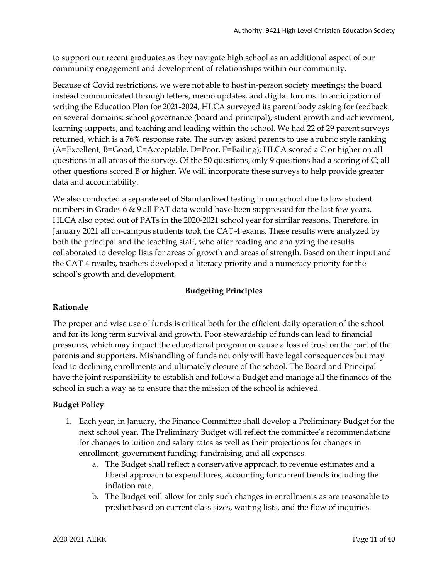to support our recent graduates as they navigate high school as an additional aspect of our community engagement and development of relationships within our community.

Because of Covid restrictions, we were not able to host in-person society meetings; the board instead communicated through letters, memo updates, and digital forums. In anticipation of writing the Education Plan for 2021-2024, HLCA surveyed its parent body asking for feedback on several domains: school governance (board and principal), student growth and achievement, learning supports, and teaching and leading within the school. We had 22 of 29 parent surveys returned, which is a 76% response rate. The survey asked parents to use a rubric style ranking (A=Excellent, B=Good, C=Acceptable, D=Poor, F=Failing); HLCA scored a C or higher on all questions in all areas of the survey. Of the 50 questions, only 9 questions had a scoring of C; all other questions scored B or higher. We will incorporate these surveys to help provide greater data and accountability.

We also conducted a separate set of Standardized testing in our school due to low student numbers in Grades 6 & 9 all PAT data would have been suppressed for the last few years. HLCA also opted out of PATs in the 2020-2021 school year for similar reasons. Therefore, in January 2021 all on-campus students took the CAT-4 exams. These results were analyzed by both the principal and the teaching staff, who after reading and analyzing the results collaborated to develop lists for areas of growth and areas of strength. Based on their input and the CAT-4 results, teachers developed a literacy priority and a numeracy priority for the school's growth and development.

# **Budgeting Principles**

# **Rationale**

The proper and wise use of funds is critical both for the efficient daily operation of the school and for its long term survival and growth. Poor stewardship of funds can lead to financial pressures, which may impact the educational program or cause a loss of trust on the part of the parents and supporters. Mishandling of funds not only will have legal consequences but may lead to declining enrollments and ultimately closure of the school. The Board and Principal have the joint responsibility to establish and follow a Budget and manage all the finances of the school in such a way as to ensure that the mission of the school is achieved.

# **Budget Policy**

- 1. Each year, in January, the Finance Committee shall develop a Preliminary Budget for the next school year. The Preliminary Budget will reflect the committee's recommendations for changes to tuition and salary rates as well as their projections for changes in enrollment, government funding, fundraising, and all expenses.
	- a. The Budget shall reflect a conservative approach to revenue estimates and a liberal approach to expenditures, accounting for current trends including the inflation rate.
	- b. The Budget will allow for only such changes in enrollments as are reasonable to predict based on current class sizes, waiting lists, and the flow of inquiries.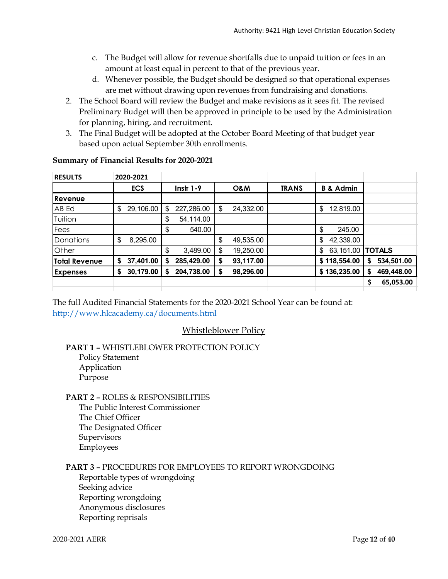- c. The Budget will allow for revenue shortfalls due to unpaid tuition or fees in an amount at least equal in percent to that of the previous year.
- d. Whenever possible, the Budget should be designed so that operational expenses are met without drawing upon revenues from fundraising and donations.
- 2. The School Board will review the Budget and make revisions as it sees fit. The revised Preliminary Budget will then be approved in principle to be used by the Administration for planning, hiring, and recruitment.
- 3. The Final Budget will be adopted at the October Board Meeting of that budget year based upon actual September 30th enrollments.

| <b>RESULTS</b>       |    | 2020-2021  |    |             |                 |              |                      |                 |
|----------------------|----|------------|----|-------------|-----------------|--------------|----------------------|-----------------|
|                      |    | <b>ECS</b> |    | $Instr 1-9$ | <b>O&amp;M</b>  | <b>TRANS</b> | <b>B &amp; Admin</b> |                 |
| Revenue              |    |            |    |             |                 |              |                      |                 |
| AB Ed                | \$ | 29,106.00  | \$ | 227,286.00  | \$<br>24,332.00 |              | \$<br>12,819.00      |                 |
| Tuition              |    |            | \$ | 54,114.00   |                 |              |                      |                 |
| Fees                 |    |            | \$ | 540.00      |                 |              | \$<br>245.00         |                 |
| Donations            | \$ | 8,295.00   |    |             | \$<br>49,535.00 |              | 42,339.00<br>\$      |                 |
| Other                |    |            | \$ | 3,489.00    | \$<br>19,250.00 |              | 63,151.00<br>\$      | <b>TOTALS</b>   |
| <b>Total Revenue</b> | S  | 37,401.00  | S  | 285,429.00  | \$<br>93,117.00 |              | \$118,554.00         | 534,501.00<br>S |
| <b>Expenses</b>      | \$ | 30,179.00  | S  | 204,738.00  | \$<br>98,296.00 |              | \$136,235.00         | 469,448.00<br>S |
|                      |    |            |    |             |                 |              |                      | 65,053.00<br>Ś  |
|                      |    |            |    |             |                 |              |                      |                 |

# **Summary of Financial Results for 2020-2021**

The full Audited Financial Statements for the 2020-2021 School Year can be found at: <http://www.hlcacademy.ca/documents.html>

# Whistleblower Policy

**PART 1 –** WHISTLEBLOWER PROTECTION POLICY Policy Statement Application Purpose

# **PART 2 –** ROLES & RESPONSIBILITIES

The Public Interest Commissioner The Chief Officer The Designated Officer Supervisors Employees

**PART 3 –** PROCEDURES FOR EMPLOYEES TO REPORT WRONGDOING

Reportable types of wrongdoing Seeking advice Reporting wrongdoing Anonymous disclosures Reporting reprisals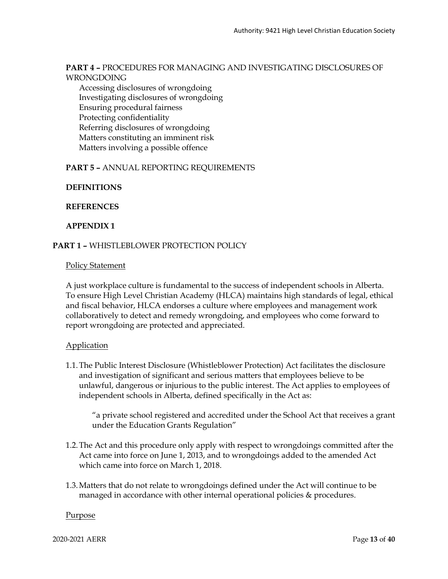### **PART 4 –** PROCEDURES FOR MANAGING AND INVESTIGATING DISCLOSURES OF WRONGDOING

Accessing disclosures of wrongdoing Investigating disclosures of wrongdoing Ensuring procedural fairness Protecting confidentiality Referring disclosures of wrongdoing Matters constituting an imminent risk Matters involving a possible offence

### **PART 5 –** ANNUAL REPORTING REQUIREMENTS

**DEFINITIONS**

**REFERENCES**

### **APPENDIX 1**

### **PART 1 –** WHISTLEBLOWER PROTECTION POLICY

### Policy Statement

A just workplace culture is fundamental to the success of independent schools in Alberta. To ensure High Level Christian Academy (HLCA) maintains high standards of legal, ethical and fiscal behavior, HLCA endorses a culture where employees and management work collaboratively to detect and remedy wrongdoing, and employees who come forward to report wrongdoing are protected and appreciated.

### **Application**

1.1.The Public Interest Disclosure (Whistleblower Protection) Act facilitates the disclosure and investigation of significant and serious matters that employees believe to be unlawful, dangerous or injurious to the public interest. The Act applies to employees of independent schools in Alberta, defined specifically in the Act as:

"a private school registered and accredited under the School Act that receives a grant under the Education Grants Regulation"

- 1.2.The Act and this procedure only apply with respect to wrongdoings committed after the Act came into force on June 1, 2013, and to wrongdoings added to the amended Act which came into force on March 1, 2018.
- 1.3.Matters that do not relate to wrongdoings defined under the Act will continue to be managed in accordance with other internal operational policies & procedures.

### **Purpose**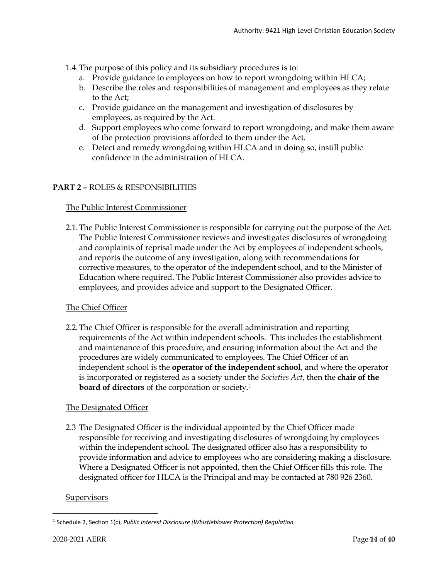- 1.4.The purpose of this policy and its subsidiary procedures is to:
	- a. Provide guidance to employees on how to report wrongdoing within HLCA;
	- b. Describe the roles and responsibilities of management and employees as they relate to the Act;
	- c. Provide guidance on the management and investigation of disclosures by employees, as required by the Act.
	- d. Support employees who come forward to report wrongdoing, and make them aware of the protection provisions afforded to them under the Act.
	- e. Detect and remedy wrongdoing within HLCA and in doing so, instill public confidence in the administration of HLCA.

# **PART 2 –** ROLES & RESPONSIBILITIES

### The Public Interest Commissioner

2.1.The Public Interest Commissioner is responsible for carrying out the purpose of the Act. The Public Interest Commissioner reviews and investigates disclosures of wrongdoing and complaints of reprisal made under the Act by employees of independent schools, and reports the outcome of any investigation, along with recommendations for corrective measures, to the operator of the independent school, and to the Minister of Education where required. The Public Interest Commissioner also provides advice to employees, and provides advice and support to the Designated Officer.

# The Chief Officer

2.2.The Chief Officer is responsible for the overall administration and reporting requirements of the Act within independent schools. This includes the establishment and maintenance of this procedure, and ensuring information about the Act and the procedures are widely communicated to employees. The Chief Officer of an independent school is the **operator of the independent school**, and where the operator is incorporated or registered as a society under the *Societies Act*, then the **chair of the board of directors** of the corporation or society.[1](#page-13-0)

# The Designated Officer

2.3 The Designated Officer is the individual appointed by the Chief Officer made responsible for receiving and investigating disclosures of wrongdoing by employees within the independent school. The designated officer also has a responsibility to provide information and advice to employees who are considering making a disclosure. Where a Designated Officer is not appointed, then the Chief Officer fills this role. The designated officer for HLCA is the Principal and may be contacted at 780 926 2360.

### **Supervisors**

<span id="page-13-0"></span><sup>1</sup> Schedule 2, Section 1(c), *Public Interest Disclosure (Whistleblower Protection) Regulation*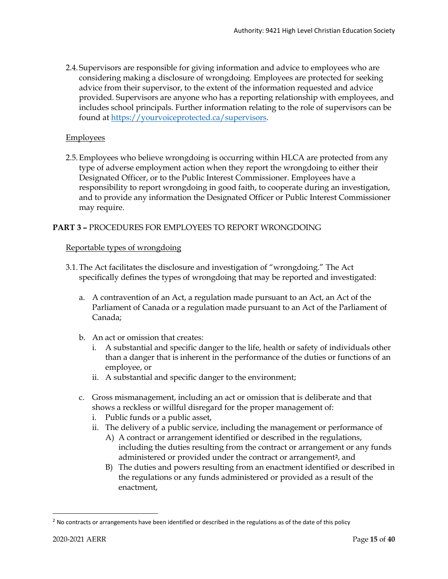2.4.Supervisors are responsible for giving information and advice to employees who are considering making a disclosure of wrongdoing. Employees are protected for seeking advice from their supervisor, to the extent of the information requested and advice provided. Supervisors are anyone who has a reporting relationship with employees, and includes school principals. Further information relating to the role of supervisors can be found at [https://yourvoiceprotected.ca/supervisors.](https://yourvoiceprotected.ca/supervisors)

# **Employees**

2.5.Employees who believe wrongdoing is occurring within HLCA are protected from any type of adverse employment action when they report the wrongdoing to either their Designated Officer, or to the Public Interest Commissioner. Employees have a responsibility to report wrongdoing in good faith, to cooperate during an investigation, and to provide any information the Designated Officer or Public Interest Commissioner may require.

# **PART 3 –** PROCEDURES FOR EMPLOYEES TO REPORT WRONGDOING

### Reportable types of wrongdoing

- 3.1.The Act facilitates the disclosure and investigation of "wrongdoing." The Act specifically defines the types of wrongdoing that may be reported and investigated:
	- a. A contravention of an Act, a regulation made pursuant to an Act, an Act of the Parliament of Canada or a regulation made pursuant to an Act of the Parliament of Canada;
	- b. An act or omission that creates:
		- i. A substantial and specific danger to the life, health or safety of individuals other than a danger that is inherent in the performance of the duties or functions of an employee, or
		- ii. A substantial and specific danger to the environment;
	- c. Gross mismanagement, including an act or omission that is deliberate and that shows a reckless or willful disregard for the proper management of:
		- i. Public funds or a public asset,
		- ii. The delivery of a public service, including the management or performance of
			- A) A contract or arrangement identified or described in the regulations, including the duties resulting from the contract or arrangement or any funds administered or provided under the contract or arrangement**[2](#page-14-0)**, and
			- B) The duties and powers resulting from an enactment identified or described in the regulations or any funds administered or provided as a result of the enactment,

<span id="page-14-0"></span> $<sup>2</sup>$  No contracts or arrangements have been identified or described in the regulations as of the date of this policy</sup>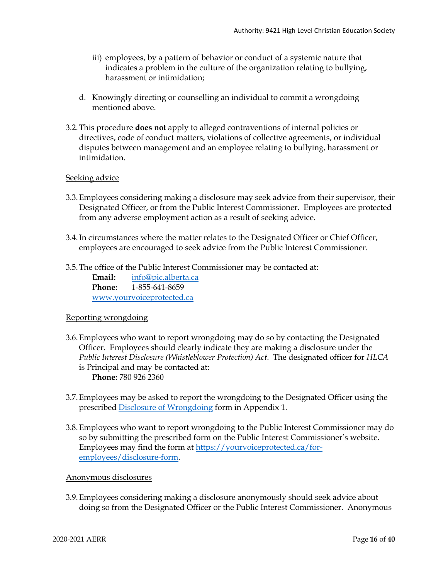- iii) employees, by a pattern of behavior or conduct of a systemic nature that indicates a problem in the culture of the organization relating to bullying, harassment or intimidation;
- d. Knowingly directing or counselling an individual to commit a wrongdoing mentioned above.
- 3.2.This procedure **does not** apply to alleged contraventions of internal policies or directives, code of conduct matters, violations of collective agreements, or individual disputes between management and an employee relating to bullying, harassment or intimidation.

### Seeking advice

- 3.3.Employees considering making a disclosure may seek advice from their supervisor, their Designated Officer, or from the Public Interest Commissioner. Employees are protected from any adverse employment action as a result of seeking advice.
- 3.4.In circumstances where the matter relates to the Designated Officer or Chief Officer, employees are encouraged to seek advice from the Public Interest Commissioner.
- 3.5.The office of the Public Interest Commissioner may be contacted at:

**Email:** [info@pic.alberta.ca](mailto:info@pic.alberta.ca) **Phone:** 1-855-641-8659 [www.yourvoiceprotected.ca](http://www.yourvoiceprotected.ca/)

### Reporting wrongdoing

- 3.6.Employees who want to report wrongdoing may do so by contacting the Designated Officer. Employees should clearly indicate they are making a disclosure under the *Public Interest Disclosure (Whistleblower Protection) Act*. The designated officer for *HLCA* is Principal and may be contacted at: **Phone:** 780 926 2360
- 3.7.Employees may be asked to report the wrongdoing to the Designated Officer using the prescribed Disclosure of Wrongdoing form in Appendix 1.
- 3.8.Employees who want to report wrongdoing to the Public Interest Commissioner may do so by submitting the prescribed form on the Public Interest Commissioner's website. Employees may find the form at [https://yourvoiceprotected.ca/for](https://yourvoiceprotected.ca/for-employees/disclosure-form)[employees/disclosure-form.](https://yourvoiceprotected.ca/for-employees/disclosure-form)

### Anonymous disclosures

3.9.Employees considering making a disclosure anonymously should seek advice about doing so from the Designated Officer or the Public Interest Commissioner. Anonymous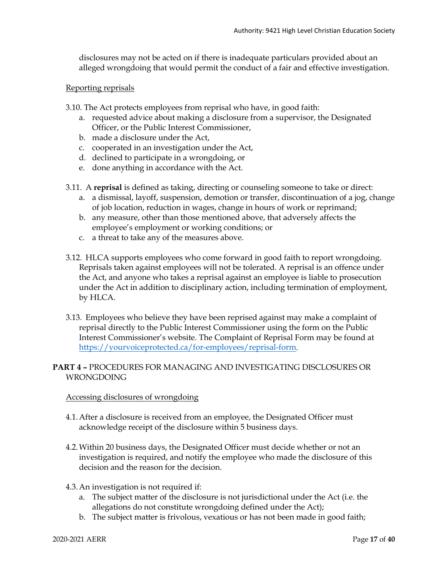disclosures may not be acted on if there is inadequate particulars provided about an alleged wrongdoing that would permit the conduct of a fair and effective investigation.

### Reporting reprisals

- 3.10. The Act protects employees from reprisal who have, in good faith:
	- a. requested advice about making a disclosure from a supervisor, the Designated Officer, or the Public Interest Commissioner,
	- b. made a disclosure under the Act,
	- c. cooperated in an investigation under the Act,
	- d. declined to participate in a wrongdoing, or
	- e. done anything in accordance with the Act.
- 3.11. A **reprisal** is defined as taking, directing or counseling someone to take or direct:
	- a. a dismissal, layoff, suspension, demotion or transfer, discontinuation of a jog, change of job location, reduction in wages, change in hours of work or reprimand;
	- b. any measure, other than those mentioned above, that adversely affects the employee's employment or working conditions; or
	- c. a threat to take any of the measures above.
- 3.12. HLCA supports employees who come forward in good faith to report wrongdoing. Reprisals taken against employees will not be tolerated. A reprisal is an offence under the Act, and anyone who takes a reprisal against an employee is liable to prosecution under the Act in addition to disciplinary action, including termination of employment, by HLCA.
- 3.13. Employees who believe they have been reprised against may make a complaint of reprisal directly to the Public Interest Commissioner using the form on the Public Interest Commissioner's website. The Complaint of Reprisal Form may be found at [https://yourvoiceprotected.ca/for-employees/reprisal-form.](https://yourvoiceprotected.ca/for-employees/reprisal-form)

# **PART 4 –** PROCEDURES FOR MANAGING AND INVESTIGATING DISCLOSURES OR WRONGDOING

### Accessing disclosures of wrongdoing

- 4.1.After a disclosure is received from an employee, the Designated Officer must acknowledge receipt of the disclosure within 5 business days.
- 4.2.Within 20 business days, the Designated Officer must decide whether or not an investigation is required, and notify the employee who made the disclosure of this decision and the reason for the decision.
- 4.3.An investigation is not required if:
	- a. The subject matter of the disclosure is not jurisdictional under the Act (i.e. the allegations do not constitute wrongdoing defined under the Act);
	- b. The subject matter is frivolous, vexatious or has not been made in good faith;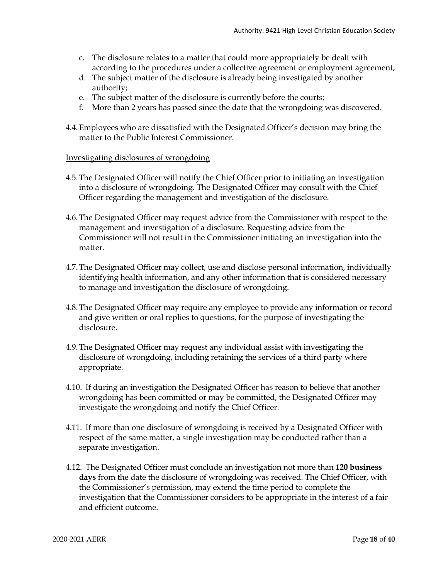- c. The disclosure relates to a matter that could more appropriately be dealt with according to the procedures under a collective agreement or employment agreement;
- d. The subject matter of the disclosure is already being investigated by another authority;
- e. The subject matter of the disclosure is currently before the courts;
- f. More than 2 years has passed since the date that the wrongdoing was discovered.
- 4.4.Employees who are dissatisfied with the Designated Officer's decision may bring the matter to the Public Interest Commissioner.

### Investigating disclosures of wrongdoing

- 4.5.The Designated Officer will notify the Chief Officer prior to initiating an investigation into a disclosure of wrongdoing. The Designated Officer may consult with the Chief Officer regarding the management and investigation of the disclosure.
- 4.6.The Designated Officer may request advice from the Commissioner with respect to the management and investigation of a disclosure. Requesting advice from the Commissioner will not result in the Commissioner initiating an investigation into the matter.
- 4.7.The Designated Officer may collect, use and disclose personal information, individually identifying health information, and any other information that is considered necessary to manage and investigation the disclosure of wrongdoing.
- 4.8.The Designated Officer may require any employee to provide any information or record and give written or oral replies to questions, for the purpose of investigating the disclosure.
- 4.9.The Designated Officer may request any individual assist with investigating the disclosure of wrongdoing, including retaining the services of a third party where appropriate.
- 4.10. If during an investigation the Designated Officer has reason to believe that another wrongdoing has been committed or may be committed, the Designated Officer may investigate the wrongdoing and notify the Chief Officer.
- 4.11. If more than one disclosure of wrongdoing is received by a Designated Officer with respect of the same matter, a single investigation may be conducted rather than a separate investigation.
- 4.12. The Designated Officer must conclude an investigation not more than **120 business days** from the date the disclosure of wrongdoing was received. The Chief Officer, with the Commissioner's permission, may extend the time period to complete the investigation that the Commissioner considers to be appropriate in the interest of a fair and efficient outcome.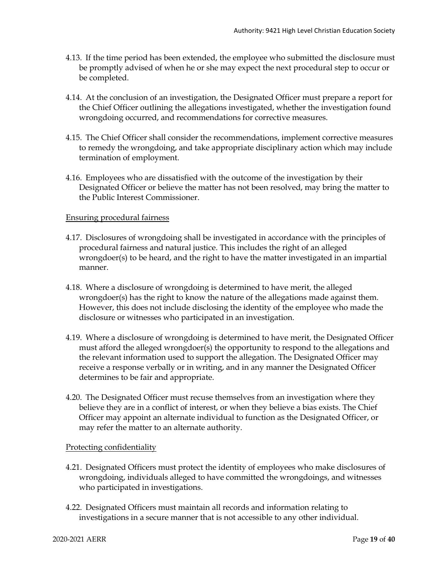- 4.13. If the time period has been extended, the employee who submitted the disclosure must be promptly advised of when he or she may expect the next procedural step to occur or be completed.
- 4.14. At the conclusion of an investigation, the Designated Officer must prepare a report for the Chief Officer outlining the allegations investigated, whether the investigation found wrongdoing occurred, and recommendations for corrective measures.
- 4.15. The Chief Officer shall consider the recommendations, implement corrective measures to remedy the wrongdoing, and take appropriate disciplinary action which may include termination of employment.
- 4.16. Employees who are dissatisfied with the outcome of the investigation by their Designated Officer or believe the matter has not been resolved, may bring the matter to the Public Interest Commissioner.

### Ensuring procedural fairness

- 4.17. Disclosures of wrongdoing shall be investigated in accordance with the principles of procedural fairness and natural justice. This includes the right of an alleged wrongdoer(s) to be heard, and the right to have the matter investigated in an impartial manner.
- 4.18. Where a disclosure of wrongdoing is determined to have merit, the alleged wrongdoer(s) has the right to know the nature of the allegations made against them. However, this does not include disclosing the identity of the employee who made the disclosure or witnesses who participated in an investigation.
- 4.19. Where a disclosure of wrongdoing is determined to have merit, the Designated Officer must afford the alleged wrongdoer(s) the opportunity to respond to the allegations and the relevant information used to support the allegation. The Designated Officer may receive a response verbally or in writing, and in any manner the Designated Officer determines to be fair and appropriate.
- 4.20. The Designated Officer must recuse themselves from an investigation where they believe they are in a conflict of interest, or when they believe a bias exists. The Chief Officer may appoint an alternate individual to function as the Designated Officer, or may refer the matter to an alternate authority.

### Protecting confidentiality

- 4.21. Designated Officers must protect the identity of employees who make disclosures of wrongdoing, individuals alleged to have committed the wrongdoings, and witnesses who participated in investigations.
- 4.22. Designated Officers must maintain all records and information relating to investigations in a secure manner that is not accessible to any other individual.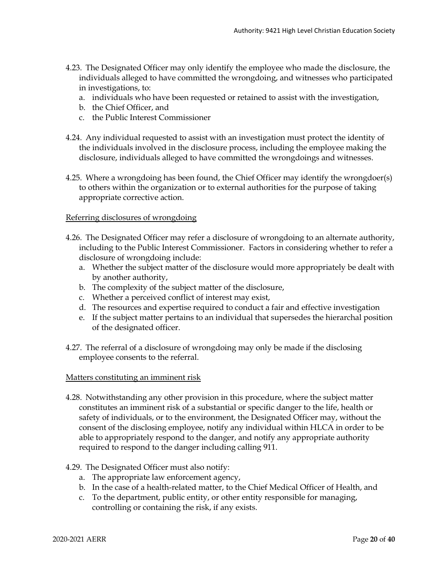- 4.23. The Designated Officer may only identify the employee who made the disclosure, the individuals alleged to have committed the wrongdoing, and witnesses who participated in investigations, to:
	- a. individuals who have been requested or retained to assist with the investigation,
	- b. the Chief Officer, and
	- c. the Public Interest Commissioner
- 4.24. Any individual requested to assist with an investigation must protect the identity of the individuals involved in the disclosure process, including the employee making the disclosure, individuals alleged to have committed the wrongdoings and witnesses.
- 4.25. Where a wrongdoing has been found, the Chief Officer may identify the wrongdoer(s) to others within the organization or to external authorities for the purpose of taking appropriate corrective action.

### Referring disclosures of wrongdoing

- 4.26. The Designated Officer may refer a disclosure of wrongdoing to an alternate authority, including to the Public Interest Commissioner. Factors in considering whether to refer a disclosure of wrongdoing include:
	- a. Whether the subject matter of the disclosure would more appropriately be dealt with by another authority,
	- b. The complexity of the subject matter of the disclosure,
	- c. Whether a perceived conflict of interest may exist,
	- d. The resources and expertise required to conduct a fair and effective investigation
	- e. If the subject matter pertains to an individual that supersedes the hierarchal position of the designated officer.
- 4.27. The referral of a disclosure of wrongdoing may only be made if the disclosing employee consents to the referral.

### Matters constituting an imminent risk

4.28. Notwithstanding any other provision in this procedure, where the subject matter constitutes an imminent risk of a substantial or specific danger to the life, health or safety of individuals, or to the environment, the Designated Officer may, without the consent of the disclosing employee, notify any individual within HLCA in order to be able to appropriately respond to the danger, and notify any appropriate authority required to respond to the danger including calling 911.

### 4.29. The Designated Officer must also notify:

- a. The appropriate law enforcement agency,
- b. In the case of a health-related matter, to the Chief Medical Officer of Health, and
- c. To the department, public entity, or other entity responsible for managing, controlling or containing the risk, if any exists.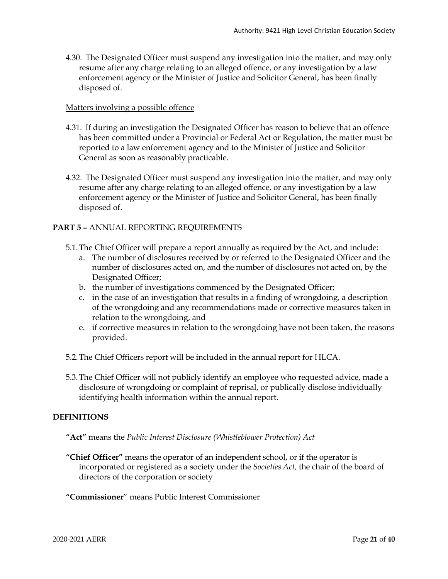4.30. The Designated Officer must suspend any investigation into the matter, and may only resume after any charge relating to an alleged offence, or any investigation by a law enforcement agency or the Minister of Justice and Solicitor General, has been finally disposed of.

### Matters involving a possible offence

- 4.31. If during an investigation the Designated Officer has reason to believe that an offence has been committed under a Provincial or Federal Act or Regulation, the matter must be reported to a law enforcement agency and to the Minister of Justice and Solicitor General as soon as reasonably practicable.
- 4.32. The Designated Officer must suspend any investigation into the matter, and may only resume after any charge relating to an alleged offence, or any investigation by a law enforcement agency or the Minister of Justice and Solicitor General, has been finally disposed of.

### **PART 5 –** ANNUAL REPORTING REQUIREMENTS

- 5.1.The Chief Officer will prepare a report annually as required by the Act, and include:
	- a. The number of disclosures received by or referred to the Designated Officer and the number of disclosures acted on, and the number of disclosures not acted on, by the Designated Officer;
	- b. the number of investigations commenced by the Designated Officer;
	- c. in the case of an investigation that results in a finding of wrongdoing, a description of the wrongdoing and any recommendations made or corrective measures taken in relation to the wrongdoing, and
	- e. if corrective measures in relation to the wrongdoing have not been taken, the reasons provided.
- 5.2.The Chief Officers report will be included in the annual report for HLCA.
- 5.3.The Chief Officer will not publicly identify an employee who requested advice, made a disclosure of wrongdoing or complaint of reprisal, or publically disclose individually identifying health information within the annual report.

### **DEFINITIONS**

- **"Act"** means the *Public Interest Disclosure (Whistleblower Protection) Act*
- **"Chief Officer"** means the operator of an independent school, or if the operator is incorporated or registered as a society under the *Societies Act,* the chair of the board of directors of the corporation or society
- **"Commissioner**" means Public Interest Commissioner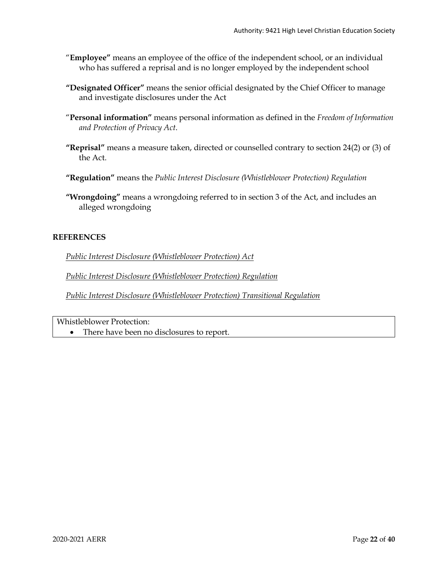- "**Employee"** means an employee of the office of the independent school, or an individual who has suffered a reprisal and is no longer employed by the independent school
- **"Designated Officer"** means the senior official designated by the Chief Officer to manage and investigate disclosures under the Act
- "**Personal information"** means personal information as defined in the *Freedom of Information and Protection of Privacy Act*.
- **"Reprisal"** means a measure taken, directed or counselled contrary to section 24(2) or (3) of the Act.
- **"Regulation"** means the *Public Interest Disclosure (Whistleblower Protection) Regulation*
- **"Wrongdoing"** means a wrongdoing referred to in section 3 of the Act, and includes an alleged wrongdoing

# **REFERENCES**

*[Public Interest Disclosure \(Whistleblower Protection\) Act](http://www.qp.alberta.ca/documents/Acts/P39P5.pdf)*

*[Public Interest Disclosure \(Whistleblower Protection\) Regulation](http://www.qp.alberta.ca/documents/Regs/2013_071.pdf)*

*[Public Interest Disclosure \(Whistleblower Protection\) Transitional Regulation](http://www.qp.alberta.ca/documents/Regs/2018_016.pdf)*

Whistleblower Protection:

• There have been no disclosures to report.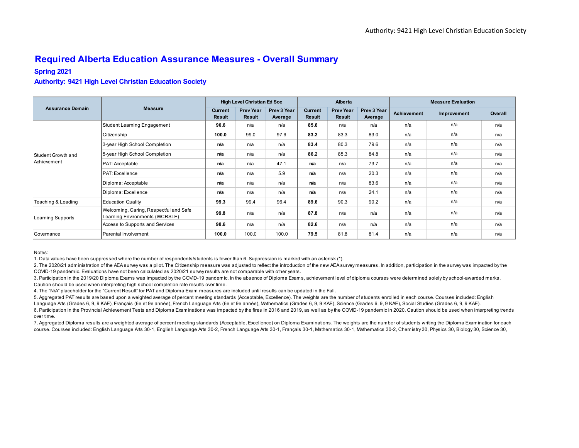# **Required Alberta Education Assurance Measures - Overall Summary**

### **Spring 2021**

#### **Authority: 9421 High Level Christian Education Society**

|                         |                                                                          |                                 | <b>High Level Christian Ed Soc</b> |                        |                          | Alberta                           |                        |                    | <b>Measure Evaluation</b> |         |
|-------------------------|--------------------------------------------------------------------------|---------------------------------|------------------------------------|------------------------|--------------------------|-----------------------------------|------------------------|--------------------|---------------------------|---------|
| <b>Assurance Domain</b> | <b>Measure</b>                                                           | <b>Current</b><br><b>Result</b> | <b>Prev Year</b><br><b>Result</b>  | Prev 3 Year<br>Average | <b>Current</b><br>Result | <b>Prev Year</b><br><b>Result</b> | Prev 3 Year<br>Average | <b>Achievement</b> | Improvement               | Overall |
|                         | Student Learning Engagement                                              | 90.6                            | n/a                                | n/a                    | 85.6                     | n/a                               | n/a                    | n/a                | n/a                       | n/a     |
|                         | Citizenship                                                              | 100.0                           | 99.0                               | 97.6                   | 83.2                     | 83.3                              | 83.0                   | n/a                | n/a                       | n/a     |
|                         | 3-year High School Completion                                            | n/a                             | n/a                                | n/a                    | 83.4                     | 80.3                              | 79.6                   | n/a                | n/a                       | n/a     |
| Student Growth and      | 5-year High School Completion                                            | n/a                             | n/a                                | n/a                    | 86.2                     | 85.3                              | 84.8                   | n/a                | n/a                       | n/a     |
| <b>Achievement</b>      | PAT: Acceptable                                                          | n/a                             | n/a                                | 47.1                   | n/a                      | n/a                               | 73.7                   | n/a                | n/a                       | n/a     |
|                         | <b>PAT: Excellence</b>                                                   | n/a                             | n/a                                | 5.9                    | n/a                      | n/a                               | 20.3                   | n/a                | n/a                       | n/a     |
|                         | Diploma: Acceptable                                                      | n/a                             | n/a                                | n/a                    | n/a                      | n/a                               | 83.6                   | n/a                | n/a                       | n/a     |
|                         | Diploma: Excellence                                                      | n/a                             | n/a                                | n/a                    | n/a                      | n/a                               | 24.1                   | n/a                | n/a                       | n/a     |
| Teaching & Leading      | <b>Education Quality</b>                                                 | 99.3                            | 99.4                               | 96.4                   | 89.6                     | 90.3                              | 90.2                   | n/a                | n/a                       | n/a     |
| Learning Supports       | Welcoming, Caring, Respectful and Safe<br>Learning Environments (WCRSLE) | 99.8                            | n/a                                | n/a                    | 87.8                     | n/a                               | n/a                    | n/a                | n/a                       | n/a     |
|                         | Access to Supports and Services                                          | 98.6                            | n/a                                | n/a                    | 82.6                     | n/a                               | n/a                    | n/a                | n/a                       | n/a     |
| Governance              | Parental Involvement                                                     | 100.0                           | 100.0                              | 100.0                  | 79.5                     | 81.8                              | 81.4                   | n/a                | n/a                       | n/a     |

#### Notes:

1. Data values have been suppressed where the number of respondents/students is fewer than 6. Suppression is marked with an asterisk (\*).

2. The 2020/21 administration of the AEA survey was a pilot. The Citizenship measure was adjusted to reflect the introduction of the new AEA survey measures. In addition, participation in the survey was impacted by the COVID-19 pandemic. Evaluations have not been calculated as 2020/21 survey results are not comparable with other years.

3. Participation in the 2019/20 Diploma Exams was impacted by the COVID-19 pandemic. In the absence of Diploma Exams, achievement level of diploma courses were determined solely by school-awarded marks. Caution should be used when interpreting high school completion rate results over time.

4. The "N/A" placeholder for the "Current Result" for PAT and Diploma Exam measures are included until results can be updated in the Fall.

5. Aggregated PAT results are based upon a weighted average of percent meeting standards (Acceptable, Excellence). The weights are the number of students enrolled in each course. Courses included: English Language Arts (Grades 6, 9, 9 KAE), Français (6e et 9e année), French Language Arts (6e et 9e année), Mathematics (Grades 6, 9, 9 KAE), Science (Grades 6, 9, 9 KAE), Social Studies (Grades 6, 9, 9 KAE), Science (Grades 6, 6. Participation in the Provincial Achievement Tests and Diploma Examinations was impacted by the fires in 2016 and 2019, as well as by the COVID-19 pandemic in 2020. Caution should be used when interpreting trends over time.

7. Aggregated Diploma results are a weighted average of percent meeting standards (Acceptable, Excellence) on Diploma Examinations. The weights are the number of students writing the Diploma Examination for each course. Courses included: English Language Arts 30-1, English Language Arts 30-2, French Language Arts 30-1, Français 30-1, Mathematics 30-1, Mathematics 30-2, Chemistry 30, Physics 30, Biology 30, Science 30,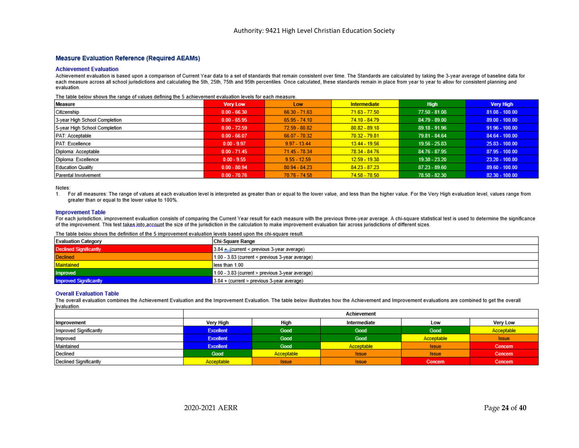#### **Measure Evaluation Reference (Required AEAMs)**

#### **Achievement Evaluation**

Achievement evaluation is based upon a comparison of Current Year data to a set of standards that remain consistent over time. The Standards are calculated by taking the 3-year average of baseline data for each measure across all school jurisdictions and calculating the 5th, 25th, 75th and 95th percentiles. Once calculated, these standards remain in place from year to year to allow for consistent planning and evaluation.

The table below shows the range of values defining the 5 achievement evaluation levels for each measure.

| Measure                       | <b>Very Low</b> | Low             | <b>Intermediate</b> | High            | <b>Very High</b> |
|-------------------------------|-----------------|-----------------|---------------------|-----------------|------------------|
| Citizenship                   | $0.00 - 66.30$  | $66.30 - 71.63$ | $71.63 - 77.50$     | $77.50 - 81.08$ | $81.08 - 100.00$ |
| 3-year High School Completion | $0.00 - 65.95$  | $65.95 - 74.10$ | 74.10 - 84.79       | $84.79 - 89.00$ | $89.00 - 100.00$ |
| 5-year High School Completion | $0.00 - 72.59$  | 72.59 - 80.82   | $80.82 - 89.18$     | 89.18 - 91.96   | $91.96 - 100.00$ |
| PAT: Acceptable               | $0.00 - 66.07$  | $66.07 - 70.32$ | $70.32 - 79.81$     | 79.81 - 84.64   | $84.64 - 100.00$ |
| PAT: Excellence               | $0.00 - 9.97$   | $9.97 - 13.44$  | 13.44 - 19.56       | $19.56 - 25.83$ | $25.83 - 100.00$ |
| Diploma: Acceptable           | $0.00 - 71.45$  | 71.45 - 78.34   | 78.34 - 84.76       | 84.76 - 87.95   | 87.95 - 100.00   |
| Diploma: Excellence           | $0.00 - 9.55$   | $9.55 - 12.59$  | $12.59 - 19.38$     | 19.38 - 23.20   | $23.20 - 100.00$ |
| <b>Education Quality</b>      | $0.00 - 80.94$  | $80.94 - 84.23$ | $84.23 - 87.23$     | 87.23 - 89.60   | $89.60 - 100.00$ |
| Parental Involvement          | $0.00 - 70.76$  | 70.76 - 74.58   | 74.58 - 78.50       | 78.50 - 82.30   | $82.30 - 100.00$ |

Notes:

1. For all measures: The range of values at each evaluation level is interpreted as greater than or equal to the lower value, and less than the higher value. For the Very High evaluation level, values range from greater than or equal to the lower value to 100%.

#### **Improvement Table**

For each jurisdiction, improvement evaluation consists of comparing the Current Year result for each measure with the previous three-year average. A chi-square statistical test is used to determine the significance of the improvement. This test takes into account the size of the jurisdiction in the calculation to make improvement evaluation fair across jurisdictions of different sizes.

#### The table below shows the definition of the 5 improvement evaluation levels based upon the chi-square result

| <b>Evaluation Category</b>    | <b>Chi-Square Range</b>                           |
|-------------------------------|---------------------------------------------------|
| <b>Declined Significantly</b> | $3.84 +$ (current < previous 3-year average)      |
| <b>Declined</b>               | $1.00 - 3.83$ (current < previous 3-year average) |
| Maintained                    | less than 1.00                                    |
| Improved                      | 1.00 - 3.83 (current > previous 3-year average)   |
| <b>Improved Significantly</b> | $3.84 +$ (current > previous 3-year average)      |

#### **Overall Evaluation Table**

The overall evaluation combines the Achievement Evaluation and the Improvement Evaluation. The table below illustrates how the Achievement and Improvement evaluations are combined to get the overall evaluation.

|                        |                  |              | Achievement  |              |              |
|------------------------|------------------|--------------|--------------|--------------|--------------|
| <b>Improvement</b>     | Very High        | High         | Intermediate | Low          | Very Low     |
| Improved Significantly | <b>Excellent</b> | Good         | Good         | Good         | Acceptable   |
| Improved               | <b>Excellent</b> | Good         | Good         | Acceptable   | <b>Issue</b> |
| Maintained             | <b>Excellent</b> | Good         | Acceptable   | <b>Issue</b> | Concern      |
| Declined               | Good             | Acceptable   | <b>Issue</b> | <b>Issue</b> | Concern      |
| Declined Significantly | Acceptable       | <b>Issue</b> | <b>Issue</b> | Concern      | Concern      |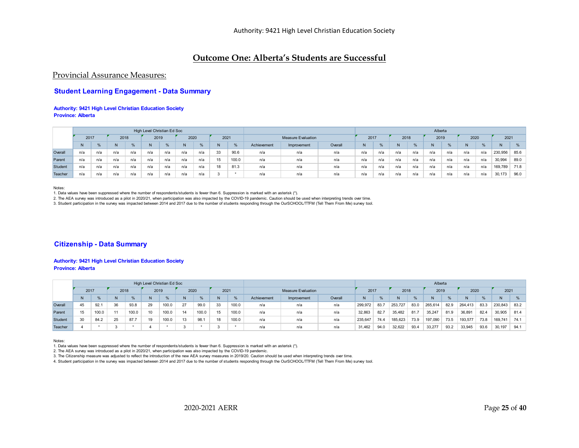## **Outcome One: Alberta's Students are Successful**

### Provincial Assurance Measures:

### **Student Learning Engagement - Data Summary**

#### **Authority: 9421 High Level Christian Education Society Province: Alberta**

|         |      |               |      |      | High Level Christian Ed Soc |               |      |     |      |       |             |                           |         |      |              |      |     | Alberta |     |      |     |         |      |
|---------|------|---------------|------|------|-----------------------------|---------------|------|-----|------|-------|-------------|---------------------------|---------|------|--------------|------|-----|---------|-----|------|-----|---------|------|
|         | 2017 |               | 2018 |      | 2019                        |               | 2020 |     | 2021 |       |             | <b>Measure Evaluation</b> |         | 2017 |              | 2018 |     | 2019    |     | 2020 |     | 2021    |      |
|         |      | $\frac{9}{6}$ |      | $\%$ |                             | $\frac{9}{6}$ |      |     | N    |       | Achievement | Improvement               | Overall | N    | $O_{\alpha}$ |      |     |         |     | N    | %   |         |      |
| Overall | n/a  | n/a           | n/a  | n/a  | n/a                         | n/a           | n/a  | n/a | 33   | 90.6  | n/a         | n/a                       | n/a     | n/a  | n/a          | n/a  | n/a | n/a     | n/a | n/a  | n/a | 230,956 | 85.6 |
| Parent  | n/a  | n/a           | n/a  | n/a  | n/a                         | n/a           | n/a  | n/a | 15   | 100.0 | n/a         | n/a                       | n/a     | n/a  | n/a          | n/a  | n/a | n/a     | n/a | n/a  | n/a | 30,994  | 89.0 |
| Student | n/a  | n/a           | n/a  | n/a  | n/a                         | n/a           | n/a  | n/a | 18   | 81.3  | n/a         | n/a                       | n/a     | n/a  | n/a          | n/a  | n/a | n/a     | n/a | n/a  | n/a | 169,789 | 71.8 |
| Teacher | n/a  | n/a           | n/a  | n/a  | n/a                         | n/a           | n/a  | n/a |      |       | n/a         | n/a                       | n/a     | n/a  | n/a          | n/a  | n/a | n/a     | n/a | n/a  | n/a | 30,173  | 96.0 |

Notes:

1. Data values have been suppressed where the number of respondents/students is fewer than 6. Suppression is marked with an asterisk (\*).

2. The AEA survey was introduced as a pilot in 2020/21, when participation was also impacted by the COVID-19 pandemic. Caution should be used when interpreting trends over time.

3. Student participation in the survey was impacted between 2014 and 2017 due to the number of students responding through the OurSCHOOL/TTFM (Tell Them From Me) survey tool.

#### **Citizenship - Data Summary**

#### **Authority: 9421 High Level Christian Education Society Province: Alberta**

|         |      |               |      |      | High Level Christian Ed Soc |       |      |       |              |               |             |                           |         |         |      |         |      | Alberta |      |         |      |         |      |
|---------|------|---------------|------|------|-----------------------------|-------|------|-------|--------------|---------------|-------------|---------------------------|---------|---------|------|---------|------|---------|------|---------|------|---------|------|
|         | 2017 |               | 2018 |      | 2019                        |       | 2020 |       | 2021         |               |             | <b>Measure Evaluation</b> |         | 2017    |      | 2018    |      | 2019    |      | 2020    |      | 2021    |      |
|         |      | $\frac{9}{6}$ | N    | $\%$ |                             | %     |      | %     | N            | $O_{\Lambda}$ | Achievement | Improvement               | Overall | N       |      |         | $\%$ |         | %    | N       | %    |         |      |
| Overall | 45   | 92.1          | 36   | 93.8 | 29                          | 100.0 | 27   | 99.0  | 33           | 100.0         | n/a         | n/a                       | n/a     | 299,972 | 83.7 | 253,727 | 83.0 | 265,614 | 82.9 | 264,413 | 83.3 | 230,843 | 83.2 |
| Parent  | 15   | 100.0         | 44   |      |                             | 100.0 | 14   | 100.0 | 15           | 100.0         | n/a         | n/a                       | n/a     | 32,863  | 82.7 | 35,482  | 81.7 | 35,247  | 81.9 | 36,891  | 82.4 | 30,905  | 81.4 |
| Student | 30   | 84.2          | 25   | 87.7 | 19                          | 100.0 | 13   | 98.1  | 18           | 100.0         | n/a         | n/a                       | n/a     | 235,647 | 74.4 | 185,623 | 73.9 | 197,090 | 73.5 | 193,577 | 73.8 | 169,741 | 74.1 |
| Teacher |      |               |      |      |                             |       |      |       | $\sim$<br>-3 |               | n/a         | n/a                       | n/a     | 31.462  | 94.0 | 32,622  | 93.4 | 33,277  | 93.2 | 33,945  | 93.6 | 30.197  | 94.1 |

Notes:

1. Data values have been suppressed where the number of respondents/students is fewer than 6. Suppression is marked with an asterisk (\*).

2. The AEA survey was introduced as a pilot in 2020/21, when participation was also impacted by the COVID-19 pandemic.

3. The Citizenship measure was adjusted to reflect the introduction of the new AEA survey measures in 2019/20. Caution should be used when interpreting trends over time.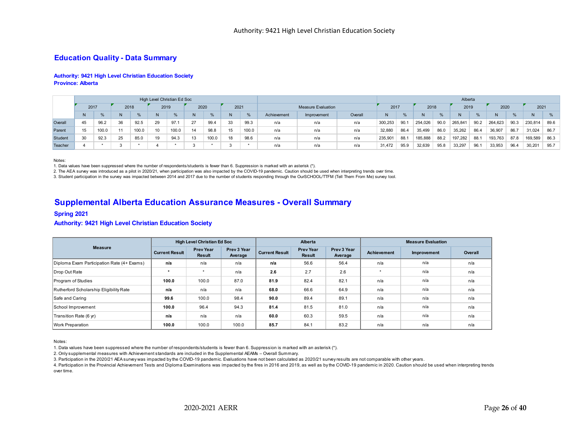### **Education Quality - Data Summary**

#### **Authority: 9421 High Level Christian Education Society Province: Alberta**

|         |      |       |      |       | High Level Christian Ed Soc |       |      |       |      |               |             |                           |         |                |      |         |      | Alberta |               |         |      |         |               |
|---------|------|-------|------|-------|-----------------------------|-------|------|-------|------|---------------|-------------|---------------------------|---------|----------------|------|---------|------|---------|---------------|---------|------|---------|---------------|
|         | 2017 |       | 2018 |       | 2019                        |       | 2020 |       | 2021 |               |             | <b>Measure Evaluation</b> |         | 2017           |      | 2018    |      | 2019    |               | 2020    |      | 2021    |               |
|         | N    | %     | N    | $\%$  | N                           | %     |      | %     | N    | $\frac{6}{2}$ | Achievement | Improvement               | Overall | N <sub>1</sub> | $\%$ |         | $\%$ |         | $\frac{0}{0}$ | N       | %    |         | $\frac{0}{6}$ |
| Overall | 45   | 96.2  | 36   | 92.5  | 29                          | 97.1  | 27   | 99.4  | 33   | 99.3          | n/a         | n/a                       | n/a     | 300,253        | 90.  | 254,026 | 90.0 | 265,841 | 90.2          | 264.623 | 90.3 | 230,814 | 89.6          |
| Parent  | 15   | 100.0 | 44   | 100.0 | 10                          | 100.0 | 14   | 98.8  | 15   | 100.0         | n/a         | n/a                       | n/a     | 32,880         | 86.4 | 35,499  | 86.0 | 35,262  | 86.4          | 36,90   | 86.7 | 31,024  | 86.7          |
| Student | 30   | 92.3  | 25   | 85.0  | 19                          | 94.3  |      | 100.0 | 18   | 98.6          | n/a         | n/a                       | n/a     | 235,90         | 88.  | 185,888 | 88.2 | 197,282 | 88.           | 193,763 | 87.8 | 169,589 | 86.3          |
| Teacher |      |       |      |       |                             |       |      |       |      |               | n/a         | n/a                       | n/a     | 31,472         | 95.9 | 32,639  | 95.8 | 33,297  | 96.           | 33,953  | 96.4 | 30,201  | 95.7          |

#### Notes:

1. Data values have been suppressed where the number of respondents/students is fewer than 6. Suppression is marked with an asterisk (\*).

2. The AEA survey was introduced as a pilot in 2020/21, when participation was also impacted by the COVID-19 pandemic. Caution should be used when interpreting trends over time.

3. Student participation in the survey was impacted between 2014 and 2017 due to the number of students responding through the OurSCHOOL/TTFM (Tell Them From Me) survey tool.

### **Supplemental Alberta Education Assurance Measures - Overall Summary**

#### **Spring 2021**

#### **Authority: 9421 High Level Christian Education Society**

|                                            |                       | <b>High Level Christian Ed Soc</b> |                        |                       | Alberta                           |                        |             | <b>Measure Evaluation</b> |         |
|--------------------------------------------|-----------------------|------------------------------------|------------------------|-----------------------|-----------------------------------|------------------------|-------------|---------------------------|---------|
| <b>Measure</b>                             | <b>Current Result</b> | <b>Prev Year</b><br>Result         | Prev 3 Year<br>Average | <b>Current Result</b> | <b>Prev Year</b><br><b>Result</b> | Prev 3 Year<br>Average | Achievement | Improvement               | Overall |
| Diploma Exam Participation Rate (4+ Exams) | n/a                   | n/a                                | n/a                    | n/a                   | 56.6                              | 56.4                   | n/a         | n/a                       | n/a     |
| Drop Out Rate                              |                       | $\star$                            | n/a                    | 2.6                   | 2.7                               | 2.6                    |             | n/a                       | n/a     |
| Program of Studies                         | 100.0                 | 100.0                              | 87.0                   | 81.9                  | 82.4                              | 82.1                   | n/a         | n/a                       | n/a     |
| Rutherford Scholarship Eligibility Rate    | n/a                   | n/a                                | n/a                    | 68.0                  | 66.6                              | 64.9                   | n/a         | n/a                       | n/a     |
| Safe and Caring                            | 99.6                  | 100.0                              | 98.4                   | 90.0                  | 89.4                              | 89.1                   | n/a         | n/a                       | n/a     |
| School Improvement                         | 100.0                 | 96.4                               | 94.3                   | 81.4                  | 81.5                              | 81.0                   | n/a         | n/a                       | n/a     |
| Transition Rate (6 yr)                     | n/a                   | n/a                                | n/a                    | 60.0                  | 60.3                              | 59.5                   | n/a         | n/a                       | n/a     |
| Work Preparation                           | 100.0                 | 100.0                              | 100.0                  | 85.7                  | 84.1                              | 83.2                   | n/a         | n/a                       | n/a     |

Notes:

1. Data values have been suppressed where the number of respondents/students is fewer than 6. Suppression is marked with an asterisk (\*).

2. Only supplemental measures with Achievement standards are included in the Supplemental AEAMs – Overall Summary.

3. Participation in the 2020/21 AEA survey was impacted by the COVID-19 pandemic. Evaluations have not been calculated as 2020/21 survey results are not comparable with other years.

4. Participation in the Provincial Achievement Tests and Diploma Examinations was impacted by the fires in 2016 and 2019, as well as by the COVID-19 pandemic in 2020. Caution should be used when interpreting trends over time.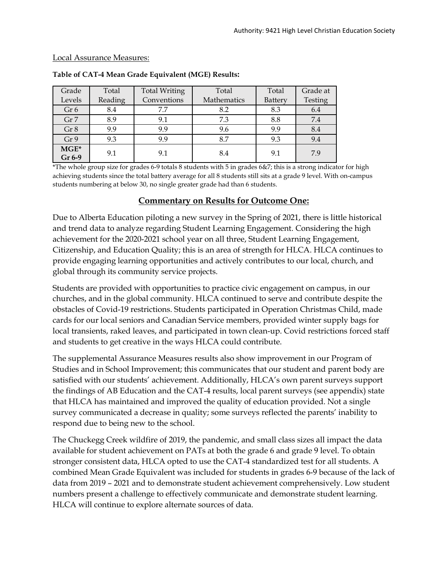### Local Assurance Measures:

| Grade            | Total   | <b>Total Writing</b> | Total       | Total   | Grade at |
|------------------|---------|----------------------|-------------|---------|----------|
| Levels           | Reading | Conventions          | Mathematics | Battery | Testing  |
| Gr <sub>6</sub>  | 8.4     | 7.7                  | 8.2         | 8.3     | 6.4      |
| Gr <sub>7</sub>  | 8.9     | 9.1                  | 7.3         | 8.8     | 7.4      |
| Gr 8             | 9.9     | 9.9                  | 9.6         | 9.9     | 8.4      |
| Gr 9             | 9.3     | 9.9                  | 8.7         | 9.3     | 9.4      |
| $MGE*$<br>Gr 6-9 | 9.1     | 9.1                  | 8.4         | 9.1     | 7.9      |

### **Table of CAT-4 Mean Grade Equivalent (MGE) Results:**

\*The whole group size for grades 6-9 totals 8 students with 5 in grades 6&7; this is a strong indicator for high achieving students since the total battery average for all 8 students still sits at a grade 9 level. With on-campus students numbering at below 30, no single greater grade had than 6 students.

# **Commentary on Results for Outcome One:**

Due to Alberta Education piloting a new survey in the Spring of 2021, there is little historical and trend data to analyze regarding Student Learning Engagement. Considering the high achievement for the 2020-2021 school year on all three, Student Learning Engagement, Citizenship, and Education Quality; this is an area of strength for HLCA. HLCA continues to provide engaging learning opportunities and actively contributes to our local, church, and global through its community service projects.

Students are provided with opportunities to practice civic engagement on campus, in our churches, and in the global community. HLCA continued to serve and contribute despite the obstacles of Covid-19 restrictions. Students participated in Operation Christmas Child, made cards for our local seniors and Canadian Service members, provided winter supply bags for local transients, raked leaves, and participated in town clean-up. Covid restrictions forced staff and students to get creative in the ways HLCA could contribute.

The supplemental Assurance Measures results also show improvement in our Program of Studies and in School Improvement; this communicates that our student and parent body are satisfied with our students' achievement. Additionally, HLCA's own parent surveys support the findings of AB Education and the CAT-4 results, local parent surveys (see appendix) state that HLCA has maintained and improved the quality of education provided. Not a single survey communicated a decrease in quality; some surveys reflected the parents' inability to respond due to being new to the school.

The Chuckegg Creek wildfire of 2019, the pandemic, and small class sizes all impact the data available for student achievement on PATs at both the grade 6 and grade 9 level. To obtain stronger consistent data, HLCA opted to use the CAT-4 standardized test for all students. A combined Mean Grade Equivalent was included for students in grades 6-9 because of the lack of data from 2019 – 2021 and to demonstrate student achievement comprehensively. Low student numbers present a challenge to effectively communicate and demonstrate student learning. HLCA will continue to explore alternate sources of data.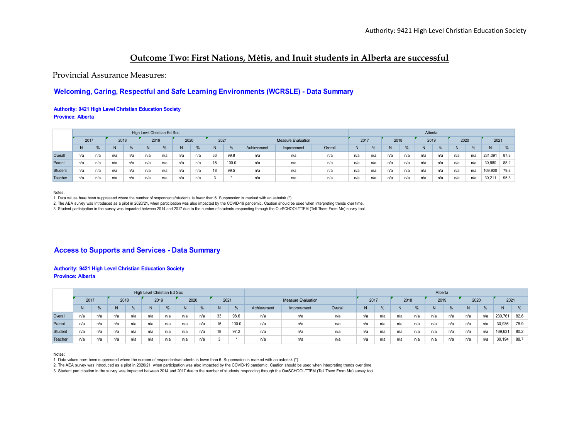# **Outcome Two: First Nations, Métis, and Inuit students in Alberta are successful**

### Provincial Assurance Measures:

### **Welcoming, Caring, Respectful and Safe Learning Environments (WCRSLE) - Data Summary**

#### **Authority: 9421 High Level Christian Education Society Province: Alberta**

|         |      |     |      |      | High Level Christian Ed Soc |     |      |     |      |       |             |                           |         |      |     |      |     | Alberta |     |      |     |         |      |
|---------|------|-----|------|------|-----------------------------|-----|------|-----|------|-------|-------------|---------------------------|---------|------|-----|------|-----|---------|-----|------|-----|---------|------|
|         | 2017 |     | 2018 |      | 2019                        |     | 2020 |     | 2021 |       |             | <b>Measure Evaluation</b> |         | 2017 |     | 2018 |     | 2019    |     | 2020 |     | 2021    |      |
|         |      | %   | N    | $\%$ | N                           | %   |      | %   | N    |       | Achievement | Improvement               | Overall | N    |     |      | 0/6 | N       |     | N    |     |         | %    |
| Overall | n/a  | n/a | n/a  | n/a  | n/a                         | n/a | n/a  | n/a | 33   | 99.8  | n/a         | n/a                       | n/a     | n/a  | n/a | n/a  | n/a | n/a     | n/a | n/a  | n/a | 231,091 | 87.8 |
| Parent  | n/a  | n/a | n/a  | n/a  | n/a                         | n/a | n/a  | n/a | 15   | 100.0 | n/a         | n/a                       | n/a     | n/a  | n/a | n/a  | n/a | n/a     | n/a | n/a  | n/a | 30,980  | 88.2 |
| Student | n/a  | n/a | n/a  | n/a  | n/a                         | n/a | n/a  | n/a | 18   | 99.5  | n/a         | n/a                       | n/a     | n/a  | n/a | n/a  | n/a | n/a     | n/a | n/a  | n/a | 169,900 | 79.8 |
| Teacher | n/a  | n/a | n/a  | n/a  | n/a                         | n/a | n/a  | n/a | 3    |       | n/a         | n/a                       | n/a     | n/a  | n/a | n/a  | n/a | n/a     | n/a | n/a  | n/a | 30.211  | 95.3 |

Notes:

1. Data values have been suppressed where the number of respondents/students is fewer than 6. Suppression is marked with an asterisk (\*).

2. The AEA survey was introduced as a pilot in 2020/21, when participation was also impacted by the COVID-19 pandemic. Caution should be used when interpreting trends over time.

3. Student participation in the survey was impacted between 2014 and 2017 due to the number of students responding through the OurSCHOOL/TTFM (Tell Them From Me) survey tool.

### **Access to Supports and Services - Data Summary**

#### **Authority: 9421 High Level Christian Education Society Province: Alberta**

|         |      |     |      |      | High Level Christian Ed Soc |     |      |     |              |       |                          |                           |     |      |     |      |     | Alberta |     |         |      |         |      |
|---------|------|-----|------|------|-----------------------------|-----|------|-----|--------------|-------|--------------------------|---------------------------|-----|------|-----|------|-----|---------|-----|---------|------|---------|------|
|         | 2017 |     | 2018 |      | 2019                        |     | 2020 |     | 2021         |       |                          | <b>Measure Evaluation</b> |     | 2017 |     | 2018 |     | 2019    |     | 2020    |      | 2021    |      |
|         |      | %   |      | $\%$ | N                           | %   |      | %   | <b>N</b>     |       | Achievement              | N                         |     |      | %   |      |     | N       | %   |         |      |         |      |
| Overall | n/a  | n/a | n/a  | n/a  | n/a                         | n/a | n/a  | n/a | 33           | 98.6  | n/a                      | n/a                       | n/a | n/a  | n/a | n/a  | n/a | n/a     | n/a | 230,761 | 82.6 |         |      |
| Parent  | n/a  | n/a | n/a  | n/a  | n/a                         | n/a | n/a  | n/a | 15           | 100.0 | n/a                      | n/a                       | n/a | n/a  | n/a | n/a  | n/a | n/a     | n/a | n/a     | n/a  | 30,936  | 78.9 |
| Student | n/a  | n/a | n/a  | n/a  | n/a                         | n/a | n/a  | n/a | 18           | 97.2  | n/a<br>n/a<br>n/a<br>n/a |                           |     |      | n/a | n/a  | n/a | n/a     | n/a | n/a     | n/a  | 169,631 | 80.2 |
| Teacher | n/a  | n/a | n/a  | n/a  | n/a                         | n/a | n/a  | n/a | $\mathbf{3}$ |       | n/a<br>n/a<br>n/a<br>n/a |                           |     |      |     | n/a  | n/a | n/a     | n/a | n/a     | n/a  | 30,194  | 88.7 |

Notes:

1. Data values have been suppressed where the number of respondents/students is fewer than 6. Suppression is marked with an asterisk (\*).

2. The AEA survey was introduced as a pilot in 2020/21, when participation was also impacted by the COVID-19 pandemic. Caution should be used when interpreting trends over time.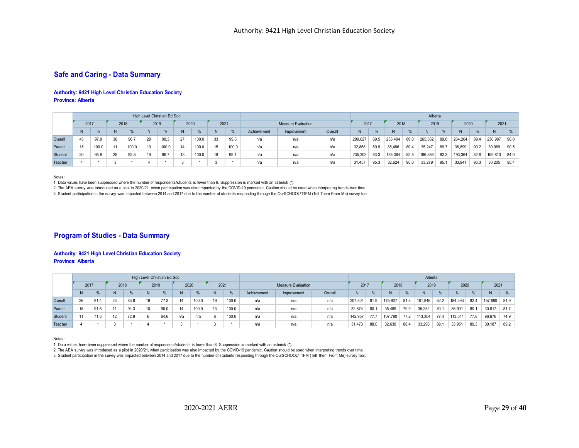### **Safe and Caring - Data Summary**

#### **Authority: 9421 High Level Christian Education Society Province: Alberta**

|         |                                          |       |      |       | High Level Christian Ed Soc |       |      |             |             |         |                              |                           |         |               |         |         |         | Alberta |         |         |         |         |      |
|---------|------------------------------------------|-------|------|-------|-----------------------------|-------|------|-------------|-------------|---------|------------------------------|---------------------------|---------|---------------|---------|---------|---------|---------|---------|---------|---------|---------|------|
|         | 2017                                     |       | 2018 |       | 2019                        |       | 2020 |             | 2021        |         |                              | <b>Measure Evaluation</b> |         | 2017          |         | 2018    |         | 2019    |         | 2020    |         | 2021    |      |
|         | $\frac{0}{6}$<br>%<br>N<br>0/2<br>N<br>% |       |      |       |                             |       |      | Achievement | Improvement | Overall |                              | $\%$                      |         | $\frac{9}{6}$ |         | %       |         |         |         | $\%$    |         |         |      |
| Overall | 45                                       | 97.8  | 36   | 96.7  | 29                          | 98.3  | 27   | 100.0       | 33          | 99.6    | n/a                          | n/a                       | 299,627 | 89.5          | 253,494 | 89.0    | 265,382 | 89.0    | 264,204 | 89.4    | 230,987 | 90.0    |      |
| Parent  |                                          | 100.0 | 11   | 100.0 |                             | 100.0 |      | 100.0       | 15          | 100.0   | n/a                          | n/a                       | n/a     | 32,868        | 89.9    | 35,486  | 89.4    | 35,247  | 89.7    | 36,899  | 90.2    | 30,969  | 90.5 |
| Student | 30                                       | 95.6  | 25   | 93.5  | 10                          | 96.7  | 13   | 100.0       | 18          | 99.1    | 235,302<br>n/a<br>n/a<br>n/a |                           |         |               |         | 185,384 | 82.5    | 196,856 | 82.3    | 193,364 | 82.6    | 169,813 | 84.0 |
| Teacher | v                                        |       |      |       |                             |       |      |             | n/a         | n/a     | n/a                          | 31,457                    | 95.3    | 32,624        | 95.0    | 33,279  | 95.1    | 33,941  | 95.3    | 30,205  | 95.4    |         |      |

Notes:

1. Data values have been suppressed where the number of respondents/students is fewer than 6. Suppression is marked with an asterisk (\*).

2. The AEA survey was introduced as a pilot in 2020/21, when participation was also impacted by the COVID-19 pandemic. Caution should be used when interpreting trends over time.

3. Student participation in the survey was impacted between 2014 and 2017 due to the number of students responding through the OurSCHOOL/TTFM (Tell Them From Me) survey tool.

### **Program of Studies - Data Summary**

#### **Authority: 9421 High Level Christian Education Society Province: Alberta**

|         |      |      |      |      | High Level Christian Ed Soc |               |      |       |                     |       |                                         |                           |     |        |      |         |      | Alberta |      |         |      |         |      |
|---------|------|------|------|------|-----------------------------|---------------|------|-------|---------------------|-------|-----------------------------------------|---------------------------|-----|--------|------|---------|------|---------|------|---------|------|---------|------|
|         | 2017 |      | 2018 |      | 2019                        |               | 2020 |       | 2021                |       |                                         | <b>Measure Evaluation</b> |     | 2017   |      | 2018    |      | 2019    |      | 2020    |      | 2021    |      |
|         |      | %    |      |      |                             | $\frac{9}{6}$ |      |       | N                   | 0/2   | Achievement                             | Improvement               | N   | $\%$   |      | $\%$    |      |         | N    | %       |      | %       |      |
| Overall | 26   | 81.4 | 23   | 83.6 | 16                          | 77.3          |      | 100.0 | 19                  | 100.0 | Overall<br>207.304<br>n/a<br>n/a<br>n/a |                           |     |        | 81.9 | 175.907 | 81.8 | 181,846 | 82.2 | 184,393 | 82.4 | 157.680 | 81.9 |
| Parent  | 15   | 91.5 | 11   | 94.3 | 10                          | 90.0          |      | 100.0 | 13                  | 100.0 | n/a                                     | n/a                       | n/a | 32,874 | 80.7 | 35,489  | 79.9 | 35,252  | 80.  | 36,901  | 80.1 | 30,817  | 81.7 |
| Student | 11   | 71.3 | 12   | 72.9 |                             | 64.6          | n/a  | n/a   | 6                   | 100.0 | n/a<br>n/a<br>n/a                       |                           |     |        |      | 107.780 | 77.2 | 113,304 | 77.4 | 113,541 | 77.8 | 96,676  | 74.9 |
| Teacher |      |      |      |      |                             |               |      |       | $\overline{ }$<br>N |       | n/a                                     | n/a                       | n/a | 31.473 | 88.0 | 32.638  | 88.4 | 33,290  | 89.  | 33,951  | 89.3 | 30.187  | 89.2 |

Notes:

1. Data values have been suppressed where the number of respondents/students is fewer than 6. Suppression is marked with an asterisk (\*).

2. The AEA survey was introduced as a pilot in 2020/21, when participation was also impacted by the COVID-19 pandemic. Caution should be used when interpreting trends over time.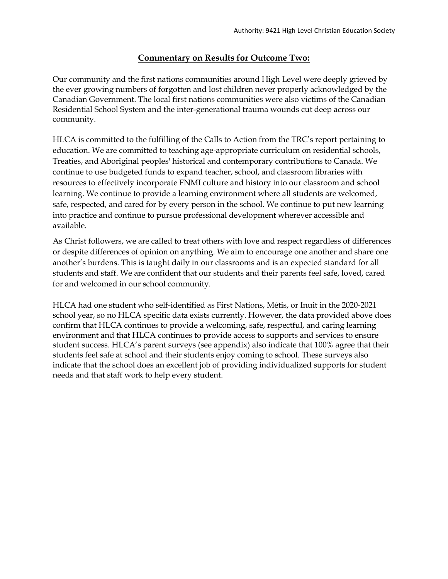# **Commentary on Results for Outcome Two:**

Our community and the first nations communities around High Level were deeply grieved by the ever growing numbers of forgotten and lost children never properly acknowledged by the Canadian Government. The local first nations communities were also victims of the Canadian Residential School System and the inter-generational trauma wounds cut deep across our community.

HLCA is committed to the fulfilling of the Calls to Action from the TRC's report pertaining to education. We are committed to teaching age-appropriate curriculum on residential schools, Treaties, and Aboriginal peoples' historical and contemporary contributions to Canada. We continue to use budgeted funds to expand teacher, school, and classroom libraries with resources to effectively incorporate FNMI culture and history into our classroom and school learning. We continue to provide a learning environment where all students are welcomed, safe, respected, and cared for by every person in the school. We continue to put new learning into practice and continue to pursue professional development wherever accessible and available.

As Christ followers, we are called to treat others with love and respect regardless of differences or despite differences of opinion on anything. We aim to encourage one another and share one another's burdens. This is taught daily in our classrooms and is an expected standard for all students and staff. We are confident that our students and their parents feel safe, loved, cared for and welcomed in our school community.

HLCA had one student who self-identified as First Nations, Métis, or Inuit in the 2020-2021 school year, so no HLCA specific data exists currently. However, the data provided above does confirm that HLCA continues to provide a welcoming, safe, respectful, and caring learning environment and that HLCA continues to provide access to supports and services to ensure student success. HLCA's parent surveys (see appendix) also indicate that 100% agree that their students feel safe at school and their students enjoy coming to school. These surveys also indicate that the school does an excellent job of providing individualized supports for student needs and that staff work to help every student.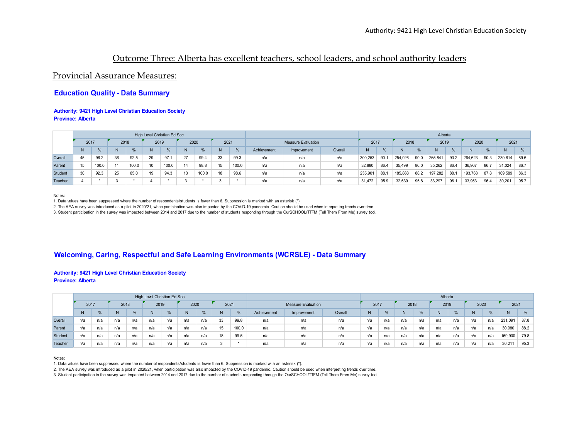# Outcome Three: Alberta has excellent teachers, school leaders, and school authority leaders

### Provincial Assurance Measures:

### **Education Quality - Data Summary**

#### **Authority: 9421 High Level Christian Education Society Province: Alberta**

|         |      |       |      |       | High Level Christian Ed Soc |       |      |       |      |       |             |                           |         |         |      |         |      | Alberta |      |         |      |         |      |
|---------|------|-------|------|-------|-----------------------------|-------|------|-------|------|-------|-------------|---------------------------|---------|---------|------|---------|------|---------|------|---------|------|---------|------|
|         | 2017 |       | 2018 |       | 2019                        |       | 2020 |       | 2021 |       |             | <b>Measure Evaluation</b> |         | 2017    |      | 2018    |      | 2019    |      | 2020    |      | 2021    |      |
|         |      | %     |      |       | N                           | %     |      |       | N    | $\%$  | Achievement | Improvement               | Overall | N       | $\%$ |         | $\%$ |         |      |         | %    |         |      |
| Overall | 45   | 96.2  | 36   | 92.5  | 29                          | 97.1  | 27   | 99.4  | 33   | 99.3  | n/a         | n/a                       | n/a     | 300.253 | 90.  | 254.026 | 90.0 | 265,841 | 90.2 | 264.623 | 90.3 | 230,814 | 89.6 |
| Parent  | 15   | 100.0 | 11   | 100.0 | 10                          | 100.0 | 14   | 98.8  | 15   | 100.0 | n/a         | n/a                       | n/a     | 32,880  | 86.4 | 35,499  | 86.0 | 35,262  | 86.4 | 36,907  | 86.7 | 31,024  | 86.7 |
| Student | 30   | 92.3  | 25   | 85.0  | 19                          | 94.3  |      | 100.0 | 18   | 98.6  | n/a         | n/a                       | n/a     | 235,90  | 88.  | 185,888 | 88.2 | 197,282 | 88.  | 193,763 | 87.8 | 169,589 | 86.3 |
| Teacher |      |       |      |       |                             |       |      |       | - 3  |       | n/a         | n/a                       | n/a     | 31,472  | 95.9 | 32,639  | 95.8 | 33,297  | 96.  | 33,953  | 96.4 | 30,201  | 95.7 |

Notes:

1. Data values have been suppressed where the number of respondents/students is fewer than 6. Suppression is marked with an asterisk (\*).

2. The AEA survey was introduced as a pilot in 2020/21, when participation was also impacted by the COVID-19 pandemic. Caution should be used when interpreting trends over time.

3. Student participation in the survey was impacted between 2014 and 2017 due to the number of students responding through the OurSCHOOL/TTFM (Tell Them From Me) survey tool.

### **Welcoming, Caring, Respectful and Safe Learning Environments (WCRSLE) - Data Summary**

#### **Authority: 9421 High Level Christian Education Society Province: Alberta**

|         |      |               |      |      | High Level Christian Ed Soc |     |      |     |      |       |                                              |                           |     |      |               |      |      | Alberta |     |      |     |         |      |
|---------|------|---------------|------|------|-----------------------------|-----|------|-----|------|-------|----------------------------------------------|---------------------------|-----|------|---------------|------|------|---------|-----|------|-----|---------|------|
|         | 2017 |               | 2018 |      | 2019                        |     | 2020 |     | 2021 |       |                                              | <b>Measure Evaluation</b> |     | 2017 |               | 2018 |      | 2019    |     | 2020 |     | 2021    |      |
|         |      | $\frac{0}{6}$ |      | $\%$ | N                           | %   |      | %   | N    | 0/2   | Overall<br>Achievement<br>Improvement<br>n/a |                           |     |      | $\frac{0}{2}$ |      | $\%$ |         |     |      | %   |         | %    |
| Overall | n/a  | n/a           | n/a  | n/a  | n/a                         | n/a | n/a  | n/a | 33   | 99.8  | n/a<br>n/a<br>n/a                            |                           |     |      | n/a           | n/a  | n/a  | n/a     | n/a | n/a  | n/a | 231,091 | 87.8 |
| Parent  | n/a  | n/a           | n/a  | n/a  | n/a                         | n/a | n/a  | n/a | 15   | 100.0 | n/a                                          | n/a                       | n/a | n/a  | n/a           | n/a  | n/a  | n/a     | n/a | n/a  | n/a | 30,980  | 88.2 |
| Student | n/a  | n/a           | n/a  | n/a  | n/a                         | n/a | n/a  | n/a | 18   | 99.5  | n/a<br>n/a<br>n/a<br>n/a                     |                           |     |      | n/a           | n/a  | n/a  | n/a     | n/a | n/a  | n/a | 169,900 | 79.8 |
| Teacher | n/a  | n/a           | n/a  | n/a  | n/a                         | n/a | n/a  | n/a | 3    |       | n/a<br>n/a<br>n/a<br>n/a                     |                           |     |      | n/a           | n/a  | n/a  | n/a     | n/a | n/a  | n/a | 30,211  | 95.3 |

Notes:

1. Data values have been suppressed where the number of respondents/students is fewer than 6. Suppression is marked with an asterisk (\*).

2. The AEA survey was introduced as a pilot in 2020/21, when participation was also impacted by the COVID-19 pandemic. Caution should be used when interpreting trends over time.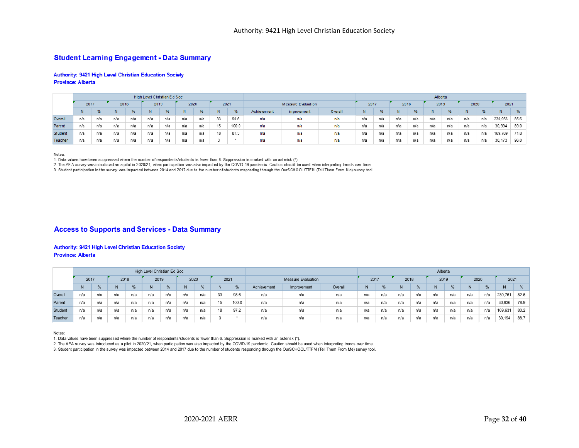### **Student Learning Engagement - Data Summary**

#### Authority: 9421 High Level Christian Education Society **Province: Alberta**

|         |                                      |     |     |     | High Level Christian Ed Soc |               |     |               |    |       |                                                              |                    |  |      |     |      |     | Alberta |               |      |               |         |      |
|---------|--------------------------------------|-----|-----|-----|-----------------------------|---------------|-----|---------------|----|-------|--------------------------------------------------------------|--------------------|--|------|-----|------|-----|---------|---------------|------|---------------|---------|------|
|         | 2021<br>2018<br>2019<br>2020<br>2017 |     |     |     |                             |               |     |               |    |       |                                                              | Measure Evaluation |  | 2017 |     | 2018 |     | 2019    |               | 2020 |               | 2021    |      |
|         |                                      | %   |     |     |                             | $\frac{9}{6}$ | N   | $\frac{9}{6}$ | N  | %     | <b>Achievement</b><br><b>O</b> verall<br>Im provement<br>n/a |                    |  | N    | %   |      | %   |         | $\frac{9}{6}$ | N    | $\frac{9}{6}$ |         | %    |
| Overall | n/a                                  | n/a | n/a | n/a | n/a                         | n/a           | n/a | n/a           | 33 | 90.6  | n/a<br>n/a<br>n/a                                            |                    |  |      | n/a | n/a  | n/a | n/a     | n/a           | n/a  | n/a           | 230,956 | 85.6 |
| Parent  | n/a                                  | n/a | n/a | n/a | n/a                         | n/a           | n/a | n/a           | 15 | 100.0 | n/a<br>n/a<br>n/a                                            |                    |  |      | n/a | n/a  | n/a | n/a     | n/a           | n/a  | n/a           | 30,994  | 89.0 |
| Student | n/a                                  | n/a | n/a | n/a | n/a                         | n/a           | n/a | n/a           | 18 | 81.3  | n/a<br>n/a<br>n/a<br>n/a<br>n/a                              |                    |  |      | n/a | n/a  | n/a | n/a     | n/a           | n/a  | n/a           | 169.789 | 71.8 |
| Teacher | n/a                                  | n/a | n/a | n/a | n/a                         | n/a           | n/a | n/a           | J. |       | n/a<br>n/a<br>n/a<br>n/a                                     |                    |  |      | n/a | n/a  | n/a | n/a     | nia           | n/a  | n/a           | 30, 173 | 96.0 |

Notes:

1. Data values have been suppressed where the number of respondents/students is fewer than 6. Suppression is marked with an asterisk (\*).

2. The AEA survey was introduced as a pilot in 2020/21, when participation was also impacted by the COVID-19 pandemic. Caution should be used when interpreting trends over time.

3. Student participation in the survey was impacted between 2014 and 2017 due to the number of students responding through the OurSCHOOL/TTFM (Tell Them From Me) survey tool.

### **Access to Supports and Services - Data Summary**

#### **Authority: 9421 High Level Christian Education Society Province: Alberta**

|         |                                      |     |     |     | High Level Christian Ed Soc |     |     |     |    |       |                                              |                    |     |      |     |      |     | Alberta |     |      |         |         |               |
|---------|--------------------------------------|-----|-----|-----|-----------------------------|-----|-----|-----|----|-------|----------------------------------------------|--------------------|-----|------|-----|------|-----|---------|-----|------|---------|---------|---------------|
|         | 2021<br>2019<br>2020<br>2017<br>2018 |     |     |     |                             |     |     |     |    |       |                                              | Measure Evaluation |     | 2017 |     | 2018 |     | 2019    |     | 2020 |         | 2021    |               |
|         |                                      | ℀   | N   |     |                             | %   |     |     | N  | %     | Achievement<br>Overall<br>Improvement<br>n/a |                    |     | N    | 0/2 |      | %   |         | %   | N    | %       |         | $\frac{9}{6}$ |
| Overall | n/a                                  | n/a | n/a | n/a | n/a                         | n/a | n/a | n/a | 33 | 98.6  | n/a<br>n/a<br>n/a                            |                    |     |      | n/a | n/a  | n/a | n/a     | n/a | n/a  | n/a     | 230,761 | 82.6          |
| Parent  | n/a                                  | n/a | n/a | n/a | n/a                         | n/a | n/a | n/a | 15 | 100.0 | n/a<br>n/a<br>n/a                            |                    |     | n/a  | n/a | n/a  | n/a | n/a     | n/a | n/a  | n/a     | 30,936  | 78.9          |
| Student | n/a                                  | n/a | n/a | n/a | n/a                         | n/a | n/a | n/a | 18 | 97.2  | n/a                                          | n/a                | n/a | n/a  | n/a | n/a  | n/a | n/a     | n/a | n/a  | 169,631 | 80.2    |               |
| Teacher | n/a                                  | n/a | n/a | n/a | n/a                         | n/a | n/a | n/a |    |       | n/a                                          | n/a                | n/a | n/a  | n/a | n/a  | n/a | n/a     | n/a | n/a  | n/a     | 30.194  | 88.7          |

Notes:

1. Data values have been suppressed where the number of respondents/students is fewer than 6. Suppression is marked with an asterisk (\*).

2. The AEA survey was introduced as a pilot in 2020/21, when participation was also impacted by the COVID-19 pandemic. Caution should be used when interpreting trends over time.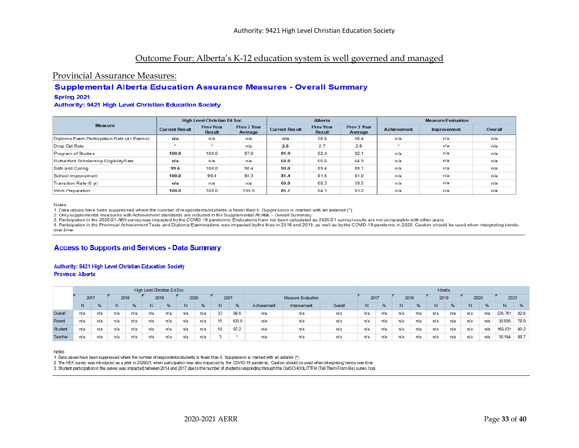# Outcome Four: Alberta's K-12 education system is well governed and managed

### Provincial Assurance Measures:

### **Supplemental Alberta Education Assurance Measures - Overall Summary**

#### Spring 2021

#### **Authority: 9421 High Level Christian Education Society**

|                                            |                       | High Level Christian Ed Soc       |                        |                       | <b>Alberta</b>                    |                        |                    | <b>Measure Evaluation</b> |         |
|--------------------------------------------|-----------------------|-----------------------------------|------------------------|-----------------------|-----------------------------------|------------------------|--------------------|---------------------------|---------|
| <b>Measure</b>                             | <b>Current Result</b> | <b>Prev Year</b><br><b>Result</b> | Prev 3 Year<br>Average | <b>Current Result</b> | <b>Prev Year</b><br><b>Result</b> | Prev 3 Year<br>Average | <b>Achievement</b> | Improvement               | Overall |
| Diploma Exam Participation Rate (4+ Exams) | n/a                   | n/a                               | n/a                    | n/a                   | 56.6                              | 56.4                   | n/a                | n/a                       | n/a     |
| Drop Out Rate                              | -                     | $\rightarrow$                     | n/a                    | 2.6                   | 2.7                               | 2.6                    | $\rightarrow$      | n/a                       | n/a     |
| Program of Studies                         | 100.0                 | 100.0                             | 87.0                   | 81.9                  | 82.4                              | 82.1                   | n/a                | n/a                       | n/a     |
| Rutherford Scholarship Eligibility Rate    | n/a                   | n/a                               | n/a                    | 68.0                  | 66.6                              | 64.9                   | n/a                | n/a                       | n/a     |
| Safe and Caring                            | 99.6                  | 100.0                             | 98.4                   | 90.0                  | 89.4                              | 89.1                   | n/a                | n/a                       | n/a     |
| School Improvement                         | 100.0                 | 96.4                              | 94.3                   | 81.4                  | 81.5                              | 81.0                   | n/a                | n/a                       | n/a     |
| Transition Rate (6 yr)                     | n/a                   | n/a                               | n/a                    | 60.0                  | 60.3                              | 59.5                   | n/a                | n/a                       | n/a     |
| Work Preparation                           | 100.0                 | 100.0                             | 100.0                  | 85.7                  | 84.1                              | 83.2                   | n/a                | n/a                       | n/a     |

Notes:

1. Data values have been suppressed where the number of respondents/students is fewer than 6. Suppression is marked with an asterisk (\*).

2. Only supplemental measures with Achievement standards are included in the Supplemental AEAWs - Overall Summary.

3. Participation in the 2020/21 AEA survey was impacted by the COVID-19 pandemic. Evaluations have not been calculated as 2020/21 survey results are not comparable with other years.

4. Participation in the Provincial Achievement Tests and Diploma Examinations was impacted by the fires in 2016 and 2019, as well as by the COVID-19 pandemic in 2020. Caution should be used when interpreting trends overtime

### **Access to Supports and Services - Data Summary**

#### Authority: 9421 High Level Christian Education Society **Province: Alberta**

|         |      |     |      |       | High Level Christian Ed Soc |     |      |     |      |       |             |                    |         |      |     |      |               | Alberta |               |      |         |         |      |
|---------|------|-----|------|-------|-----------------------------|-----|------|-----|------|-------|-------------|--------------------|---------|------|-----|------|---------------|---------|---------------|------|---------|---------|------|
|         | 2017 |     | 2018 |       | 2019                        |     | 2020 |     | 2021 |       |             | Measure Evaluation |         | 2017 |     | 2018 |               | 2019    |               | 2020 |         | 2021    |      |
|         |      | %   | N    | $-96$ | Ν                           | %   |      | %   | N    | %     | Achievement | Improvement        | Overall | N.   | %   |      | $\frac{9}{6}$ | N       | $\frac{9}{6}$ | N    | %       | N.      | %    |
| Overall | n/a  | n/a | n/a  | n/a   | n/a                         | n/a | n/a  | n/a | 33   | 98.6  | п/а         | n/a                | n/a     | n/a  | n/a | n/a  | n/a           | n/a     | n/a           | n/a  | 230,761 | 82.6    |      |
| Parent  | n/a  | n/a | n/a  | п/а   | n/a                         | n/a | n/a  | n/a | 15   | 100.0 | п/а         | n/a                | n/a     | n/a  | n/a | n/a  | n/a           | n/a     | n/a           | n/a  | n/a     | 30,936  | 78.9 |
| Student | n/a  | rva | n/a  | n/a   | n/a                         | n/a | n/a  | n/a | 18   | 97.2  | rva         | n/a                | n/a     | п/а  | n/a | n/a  | n/a           | n/a     | n/a           | n/a  | n/a     | 169,631 | 80.2 |
| Teacher | n/a  | n/a | n/a  | n/a   | n/a                         | n/a | n/a  | n/a |      |       | n/a         | n/a                | n/a     | n/a  | n/a | n/a  | n/a           | n/a     | n/a           | n/a  | n/a     | 30,194  | 88.7 |

Notes:

1. Data values have been suppressed where the number of respondents/students is fewer than 6. Suppression is marked with an asterisk (\*).

2. The AEA survey was introduced as a pilot in 2020/21, when participation was also impacted by the COVID-19 pandemic. Caution should be used when interpreting trends over time.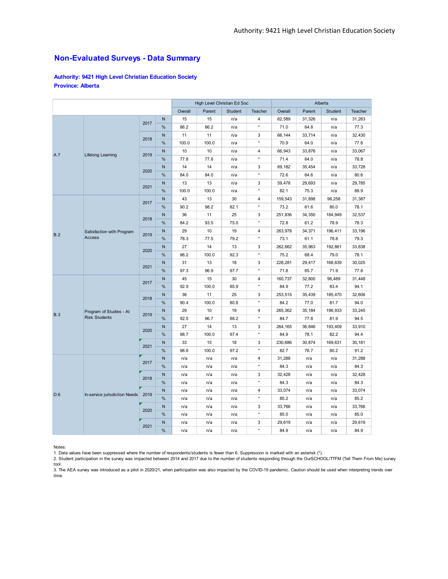### **Non-Evaluated Surveys - Data Summary**

**Authority: 9421 High Level Christian Education Society Province: Alberta**

|            |                               |      |               |         | High Level Christian Ed Soc |         |                |         |        | Alberta |         |
|------------|-------------------------------|------|---------------|---------|-----------------------------|---------|----------------|---------|--------|---------|---------|
|            |                               |      |               | Overall | Parent                      | Student | Teacher        | Overall | Parent | Student | Teacher |
|            |                               | 2017 | N             | 15      | 15                          | n/a     | 4              | 62,589  | 31,326 | n/a     | 31,263  |
|            |                               |      | %             | 86.2    | 86.2                        | n/a     | $\star$        | 71.0    | 64.8   | n/a     | 77.3    |
|            |                               |      | N             | 11      | 11                          | n/a     | 3              | 66,144  | 33,714 | n/a     | 32,430  |
|            |                               | 2018 | %             | 100.0   | 100.0                       | n/a     | $\star$        | 70.9    | 64.0   | n/a     | 77.8    |
|            |                               |      | ${\sf N}$     | 10      | 10                          | n/a     | 4              | 66,943  | 33,876 | n/a     | 33,067  |
| A.7        | <b>Lifelong Learning</b>      | 2019 | %             | 77.8    | 77.8                        | n/a     | $^\star$       | 71.4    | 64.0   | n/a     | 78.8    |
|            |                               | 2020 | N             | 14      | 14                          | n/a     | 3              | 69,182  | 35,454 | n/a     | 33,728  |
|            |                               |      | %             | 84.0    | 84.0                        | n/a     | $\star$        | 72.6    | 64.6   | n/a     | 80.6    |
|            |                               | 2021 | $\mathsf{N}$  | 13      | 13                          | n/a     | 3              | 59,478  | 29,693 | n/a     | 29,785  |
|            |                               |      | $\%$          | 100.0   | 100.0                       | n/a     | $\star$        | 82.1    | 75.3   | n/a     | 88.9    |
|            |                               |      | N             | 43      | 13                          | 30      | 4              | 159,543 | 31,898 | 96,258  | 31,387  |
|            |                               | 2017 | %             | 90.2    | 98.2                        | 82.1    | $\star$        | 73.2    | 61.6   | 80.0    | 78.1    |
|            |                               | 2018 | $\mathsf{N}$  | 36      | 11                          | 25      | 3              | 251,836 | 34,350 | 184,949 | 32,537  |
|            |                               |      | %             | 84.2    | 93.5                        | 75.0    | $^\star$       | 72.8    | 61.2   | 78.9    | 78.3    |
|            | Satisfaction with Program     |      | N             | 29      | 10                          | 19      | 4              | 263,978 | 34,371 | 196,411 | 33,196  |
| B.2        | <b>Access</b>                 | 2019 | %             | 78.3    | 77.5                        | 79.2    | $\star$        | 73.1    | 61.1   | 78.8    | 79.3    |
|            |                               | 2020 | $\mathsf{N}$  | 27      | 14                          | 13      | 3              | 262,662 | 35,963 | 192,861 | 33,838  |
|            |                               |      | $\%$          | 96.2    | 100.0                       | 92.3    | $\star$        | 75.2    | 68.4   | 79.0    | 78.1    |
|            |                               | 2021 | $\mathsf{N}$  | 31      | 13                          | 18      | 3              | 228,281 | 29,417 | 168,839 | 30,025  |
|            |                               |      | %             | 97.3    | 96.9                        | 97.7    | $\star$        | 71.8    | 65.7   | 71.9    | 77.8    |
|            |                               | 2017 | ${\sf N}$     | 45      | 15                          | 30      | $\overline{4}$ | 160,737 | 32,800 | 96,489  | 31,448  |
|            |                               |      | %             | 92.9    | 100.0                       | 85.9    | $\star$        | 84.9    | 77.2   | 83.4    | 94.1    |
|            |                               | 2018 | N             | 36      | 11                          | 25      | 3              | 253,515 | 35,439 | 185,470 | 32,606  |
|            |                               |      | %             | 90.4    | 100.0                       | 80.8    | $\star$        | 84.2    | 77.0   | 81.7    | 94.0    |
| <b>B.3</b> | Program of Studies - At       | 2019 | N             | 29      | 10                          | 19      | 4              | 265,362 | 35,184 | 196,933 | 33,245  |
|            | <b>Risk Students</b>          |      | $\%$          | 92.5    | 96.7                        | 88.2    | $\star$        | 84.7    | 77.8   | 81.9    | 94.5    |
|            |                               | 2020 | $\mathsf{N}$  | 27      | 14                          | 13      | 3              | 264,165 | 36,846 | 193,409 | 33,910  |
|            |                               |      | $\%$          | 98.7    | 100.0                       | 97.4    | $\star$        | 84.9    | 78.1   | 82.2    | 94.4    |
|            |                               | 2021 | N             | 33      | 15                          | 18      | 3              | 230,686 | 30,874 | 169,631 | 30,181  |
|            |                               |      | %             | 98.6    | 100.0                       | 97.2    | $^\star$       | 82.7    | 76.7   | 80.2    | 91.2    |
|            |                               | 2017 | $\mathsf{N}$  | n/a     | n/a                         | n/a     | $\overline{4}$ | 31,288  | n/a    | n/a     | 31,288  |
|            |                               |      | %             | n/a     | n/a                         | n/a     | $^\star$       | 84.3    | n/a    | n/a     | 84.3    |
|            |                               | 2018 | N             | n/a     | n/a                         | n/a     | 3              | 32,428  | n/a    | n/a     | 32,428  |
|            |                               |      | $\%$          | n/a     | n/a                         | n/a     | $\star$        | 84.3    | n/a    | n/a     | 84.3    |
|            |                               | 2019 | $\mathsf{N}$  | n/a     | n/a                         | n/a     | $\overline{4}$ | 33,074  | n/a    | n/a     | 33,074  |
| D.6        | In-service jurisdiction Needs |      | %             | n/a     | n/a                         | n/a     | $\star$        | 85.2    | n/a    | n/a     | 85.2    |
|            |                               | 2020 | N             | n/a     | n/a                         | n/a     | 3              | 33,766  | n/a    | n/a     | 33,766  |
|            |                               |      | %             | n/a     | n/a                         | n/a     | $\star$        | 85.0    | n/a    | n/a     | 85.0    |
|            |                               | 2021 | N             | n/a     | n/a                         | n/a     | 3              | 29,619  | n/a    | n/a     | 29,619  |
|            |                               |      | $\frac{0}{0}$ | n/a     | n/a                         | n/a     | $\star$        | 84.9    | n/a    | n/a     | 84.9    |

Notes:

1. Data values have been suppressed where the number of respondents/students is fewer than 6. Suppression is marked with an asterisk (\*).<br>2. Student participation in the survey was impacted between 2014 and 2017 due to th

tool. 3. The AEA survey was introduced as a pilot in 2020/21, when participation was also impacted by the COVID-19 pandemic. Caution should be used when interpreting trends over time.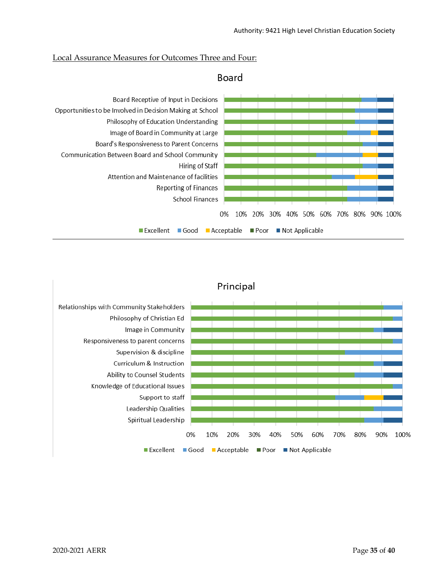### Local Assurance Measures for Outcomes Three and Four:



# Board

# Principal

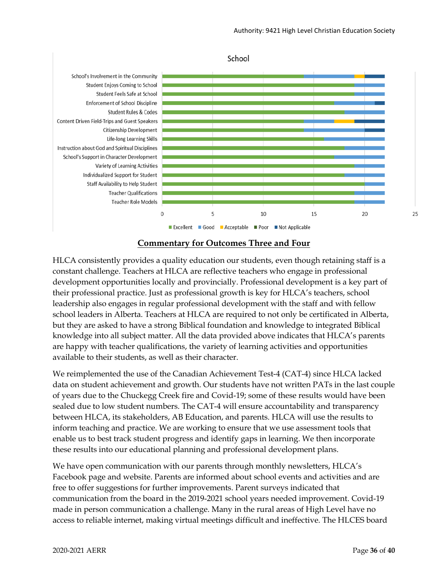

School

# **Commentary for Outcomes Three and Four**

HLCA consistently provides a quality education our students, even though retaining staff is a constant challenge. Teachers at HLCA are reflective teachers who engage in professional development opportunities locally and provincially. Professional development is a key part of their professional practice. Just as professional growth is key for HLCA's teachers, school leadership also engages in regular professional development with the staff and with fellow school leaders in Alberta. Teachers at HLCA are required to not only be certificated in Alberta, but they are asked to have a strong Biblical foundation and knowledge to integrated Biblical knowledge into all subject matter. All the data provided above indicates that HLCA's parents are happy with teacher qualifications, the variety of learning activities and opportunities available to their students, as well as their character.

We reimplemented the use of the Canadian Achievement Test-4 (CAT-4) since HLCA lacked data on student achievement and growth. Our students have not written PATs in the last couple of years due to the Chuckegg Creek fire and Covid-19; some of these results would have been sealed due to low student numbers. The CAT-4 will ensure accountability and transparency between HLCA, its stakeholders, AB Education, and parents. HLCA will use the results to inform teaching and practice. We are working to ensure that we use assessment tools that enable us to best track student progress and identify gaps in learning. We then incorporate these results into our educational planning and professional development plans.

We have open communication with our parents through monthly newsletters, HLCA's Facebook page and website. Parents are informed about school events and activities and are free to offer suggestions for further improvements. Parent surveys indicated that communication from the board in the 2019-2021 school years needed improvement. Covid-19 made in person communication a challenge. Many in the rural areas of High Level have no access to reliable internet, making virtual meetings difficult and ineffective. The HLCES board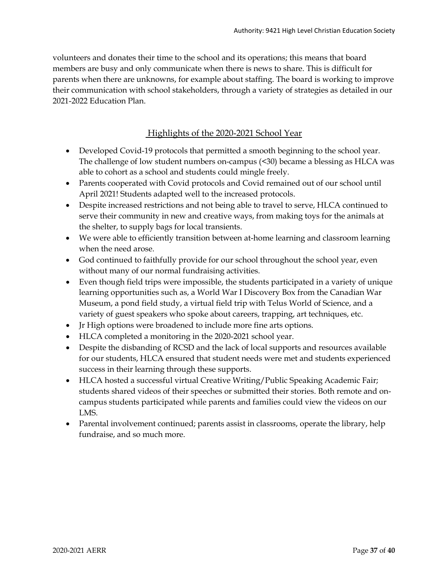volunteers and donates their time to the school and its operations; this means that board members are busy and only communicate when there is news to share. This is difficult for parents when there are unknowns, for example about staffing. The board is working to improve their communication with school stakeholders, through a variety of strategies as detailed in our 2021-2022 Education Plan.

# Highlights of the 2020-2021 School Year

- Developed Covid-19 protocols that permitted a smooth beginning to the school year. The challenge of low student numbers on-campus (<30) became a blessing as HLCA was able to cohort as a school and students could mingle freely.
- Parents cooperated with Covid protocols and Covid remained out of our school until April 2021! Students adapted well to the increased protocols.
- Despite increased restrictions and not being able to travel to serve, HLCA continued to serve their community in new and creative ways, from making toys for the animals at the shelter, to supply bags for local transients.
- We were able to efficiently transition between at-home learning and classroom learning when the need arose.
- God continued to faithfully provide for our school throughout the school year, even without many of our normal fundraising activities.
- Even though field trips were impossible, the students participated in a variety of unique learning opportunities such as, a World War I Discovery Box from the Canadian War Museum, a pond field study, a virtual field trip with Telus World of Science, and a variety of guest speakers who spoke about careers, trapping, art techniques, etc.
- Jr High options were broadened to include more fine arts options.
- HLCA completed a monitoring in the 2020-2021 school year.
- Despite the disbanding of RCSD and the lack of local supports and resources available for our students, HLCA ensured that student needs were met and students experienced success in their learning through these supports.
- HLCA hosted a successful virtual Creative Writing/Public Speaking Academic Fair; students shared videos of their speeches or submitted their stories. Both remote and oncampus students participated while parents and families could view the videos on our LMS.
- Parental involvement continued; parents assist in classrooms, operate the library, help fundraise, and so much more.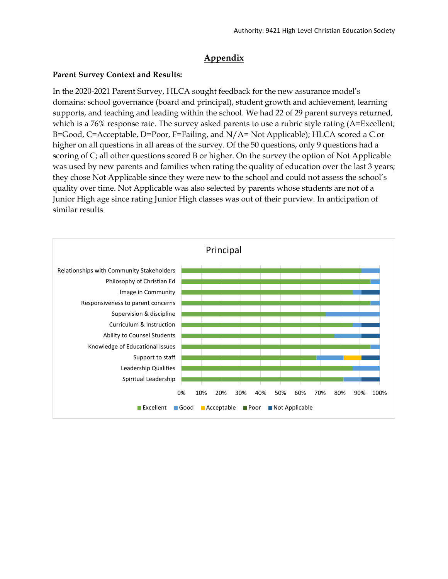# **Appendix**

## **Parent Survey Context and Results:**

In the 2020-2021 Parent Survey, HLCA sought feedback for the new assurance model's domains: school governance (board and principal), student growth and achievement, learning supports, and teaching and leading within the school. We had 22 of 29 parent surveys returned, which is a 76% response rate. The survey asked parents to use a rubric style rating (A=Excellent, B=Good, C=Acceptable, D=Poor, F=Failing, and N/A= Not Applicable); HLCA scored a C or higher on all questions in all areas of the survey. Of the 50 questions, only 9 questions had a scoring of C; all other questions scored B or higher. On the survey the option of Not Applicable was used by new parents and families when rating the quality of education over the last 3 years; they chose Not Applicable since they were new to the school and could not assess the school's quality over time. Not Applicable was also selected by parents whose students are not of a Junior High age since rating Junior High classes was out of their purview. In anticipation of similar results

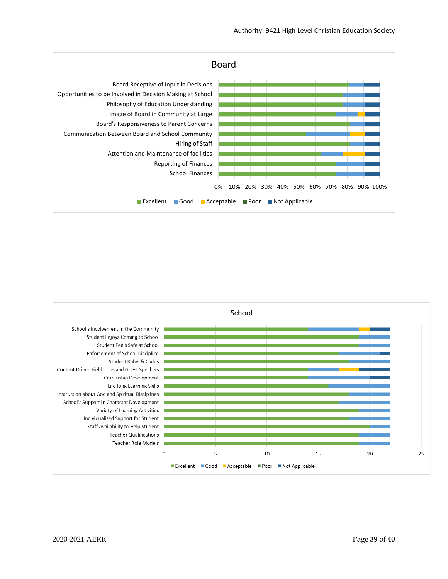